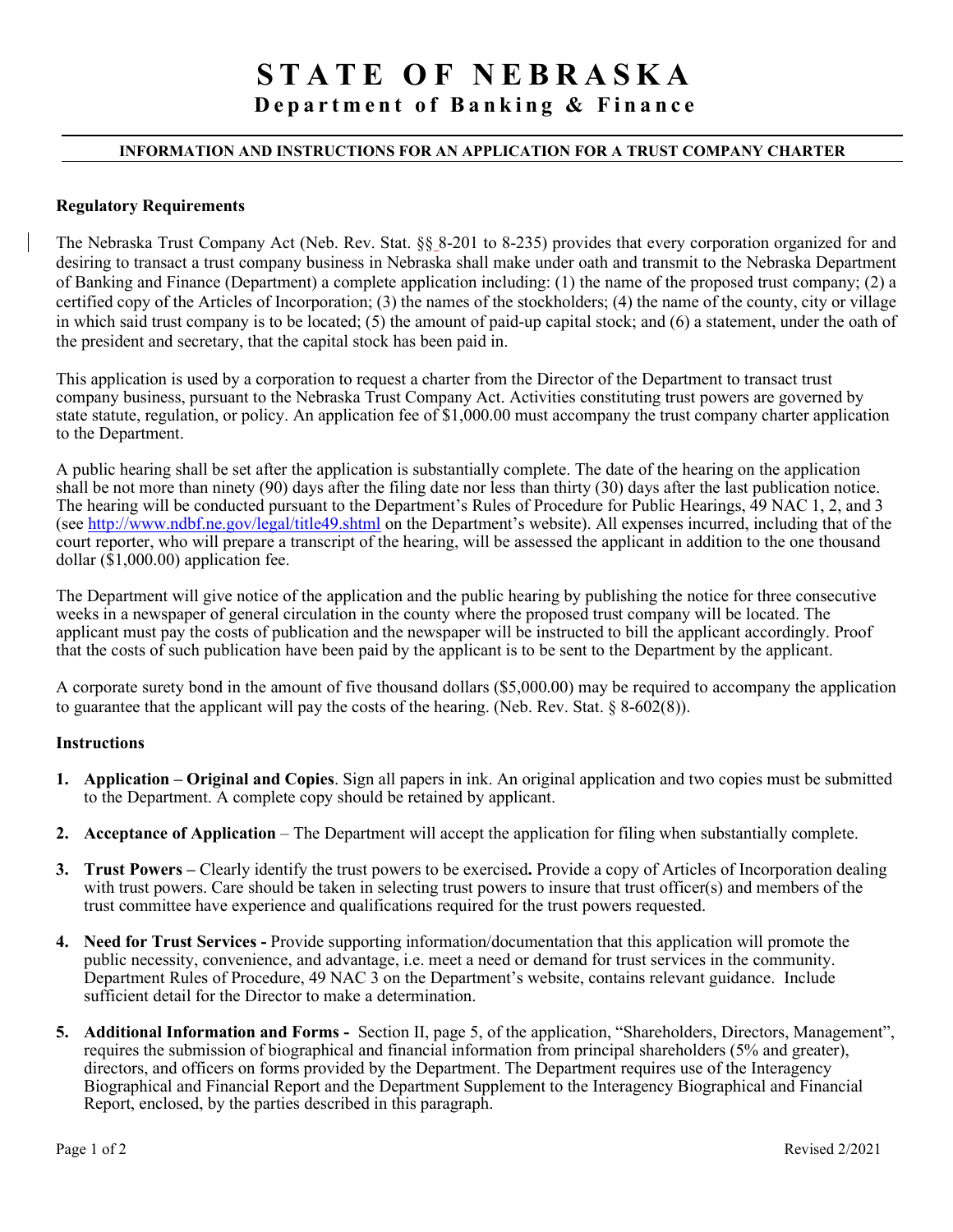# **STATE OF NEBRASKA**

**Department of Banking & Finance**

#### **INFORMATION AND INSTRUCTIONS FOR AN APPLICATION FOR A TRUST COMPANY CHARTER**

#### **Regulatory Requirements**

The Nebraska Trust Company Act (Neb. Rev. Stat. §§ 8-201 to 8-235) provides that every corporation organized for and desiring to transact a trust company business in Nebraska shall make under oath and transmit to the Nebraska Department of Banking and Finance (Department) a complete application including: (1) the name of the proposed trust company; (2) a certified copy of the Articles of Incorporation; (3) the names of the stockholders; (4) the name of the county, city or village in which said trust company is to be located; (5) the amount of paid-up capital stock; and (6) a statement, under the oath of the president and secretary, that the capital stock has been paid in.

This application is used by a corporation to request a charter from the Director of the Department to transact trust company business, pursuant to the Nebraska Trust Company Act. Activities constituting trust powers are governed by state statute, regulation, or policy. An application fee of \$1,000.00 must accompany the trust company charter application to the Department.

A public hearing shall be set after the application is substantially complete. The date of the hearing on the application shall be not more than ninety (90) days after the filing date nor less than thirty (30) days after the last publication notice. The hearing will be conducted pursuant to the Department's Rules of Procedure for Public Hearings, 49 NAC 1, 2, and 3 (see<http://www.ndbf.ne.gov/legal/title49.shtml> on the Department's website). All expenses incurred, including that of the court reporter, who will prepare a transcript of the hearing, will be assessed the applicant in addition to the one thousand dollar  $(\bar{$}1,000.00)$  application fee.

The Department will give notice of the application and the public hearing by publishing the notice for three consecutive weeks in a newspaper of general circulation in the county where the proposed trust company will be located. The applicant must pay the costs of publication and the newspaper will be instructed to bill the applicant accordingly. Proof that the costs of such publication have been paid by the applicant is to be sent to the Department by the applicant.

A corporate surety bond in the amount of five thousand dollars (\$5,000.00) may be required to accompany the application to guarantee that the applicant will pay the costs of the hearing. (Neb. Rev. Stat.  $\S 8-602(8)$ ).

#### **Instructions**

- **1. Application Original and Copies**. Sign all papers in ink. An original application and two copies must be submitted to the Department. A complete copy should be retained by applicant.
- **2. Acceptance of Application** The Department will accept the application for filing when substantially complete.
- **3. Trust Powers** Clearly identify the trust powers to be exercised**.** Provide a copy of Articles of Incorporation dealing with trust powers. Care should be taken in selecting trust powers to insure that trust officer(s) and members of the trust committee have experience and qualifications required for the trust powers requested.
- **4. Need for Trust Services** Provide supporting information/documentation that this application will promote the public necessity, convenience, and advantage, i.e. meet a need or demand for trust services in the community. Department Rules of Procedure, 49 NAC 3 on the Department's website, contains relevant guidance. Include sufficient detail for the Director to make a determination.
- **5. Additional Information and Forms** Section II, page 5, of the application, "Shareholders, Directors, Management", requires the submission of biographical and financial information from principal shareholders (5% and greater), directors, and officers on forms provided by the Department. The Department requires use of the Interagency Biographical and Financial Report and the Department Supplement to the Interagency Biographical and Financial Report, enclosed, by the parties described in this paragraph.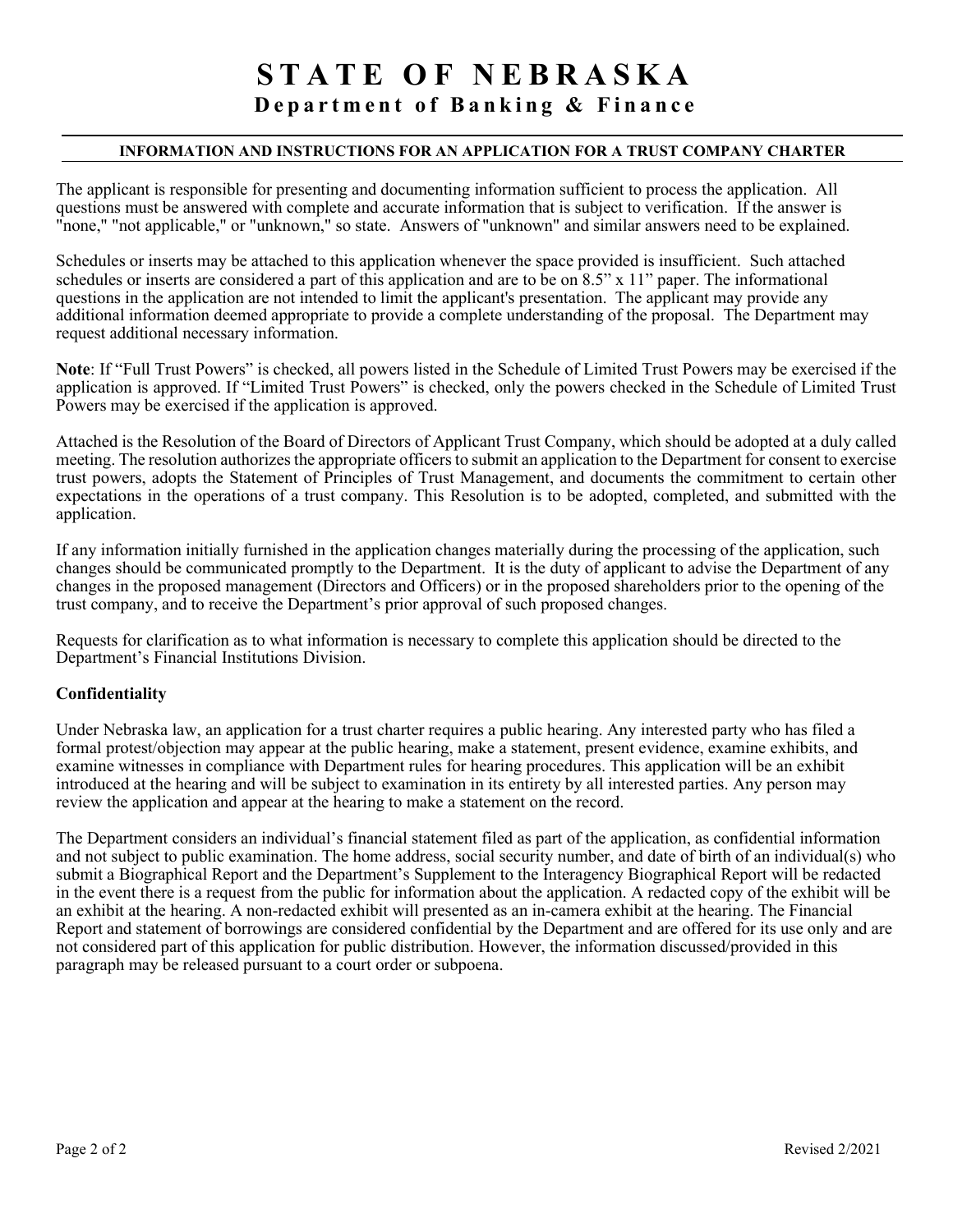# **STATE OF NEBRASKA**

# **Department of Banking & Finance**

#### **INFORMATION AND INSTRUCTIONS FOR AN APPLICATION FOR A TRUST COMPANY CHARTER**

The applicant is responsible for presenting and documenting information sufficient to process the application. All questions must be answered with complete and accurate information that is subject to verification. If the answer is "none," "not applicable," or "unknown," so state. Answers of "unknown" and similar answers need to be explained.

Schedules or inserts may be attached to this application whenever the space provided is insufficient. Such attached schedules or inserts are considered a part of this application and are to be on 8.5" x 11" paper. The informational questions in the application are not intended to limit the applicant's presentation. The applicant may provide any additional information deemed appropriate to provide a complete understanding of the proposal. The Department may request additional necessary information.

**Note**: If "Full Trust Powers" is checked, all powers listed in the Schedule of Limited Trust Powers may be exercised if the application is approved. If "Limited Trust Powers" is checked, only the powers checked in the Schedule of Limited Trust Powers may be exercised if the application is approved.

Attached is the Resolution of the Board of Directors of Applicant Trust Company, which should be adopted at a duly called meeting. The resolution authorizes the appropriate officers to submit an application to the Department for consent to exercise trust powers, adopts the Statement of Principles of Trust Management, and documents the commitment to certain other expectations in the operations of a trust company. This Resolution is to be adopted, completed, and submitted with the application.

If any information initially furnished in the application changes materially during the processing of the application, such changes should be communicated promptly to the Department. It is the duty of applicant to advise the Department of any changes in the proposed management (Directors and Officers) or in the proposed shareholders prior to the opening of the trust company, and to receive the Department's prior approval of such proposed changes.

Requests for clarification as to what information is necessary to complete this application should be directed to the Department's Financial Institutions Division.

#### **Confidentiality**

Under Nebraska law, an application for a trust charter requires a public hearing. Any interested party who has filed a formal protest/objection may appear at the public hearing, make a statement, present evidence, examine exhibits, and examine witnesses in compliance with Department rules for hearing procedures. This application will be an exhibit introduced at the hearing and will be subject to examination in its entirety by all interested parties. Any person may review the application and appear at the hearing to make a statement on the record.

The Department considers an individual's financial statement filed as part of the application, as confidential information and not subject to public examination. The home address, social security number, and date of birth of an individual(s) who submit a Biographical Report and the Department's Supplement to the Interagency Biographical Report will be redacted in the event there is a request from the public for information about the application. A redacted copy of the exhibit will be an exhibit at the hearing. A non-redacted exhibit will presented as an in-camera exhibit at the hearing. The Financial Report and statement of borrowings are considered confidential by the Department and are offered for its use only and are not considered part of this application for public distribution. However, the information discussed/provided in this paragraph may be released pursuant to a court order or subpoena.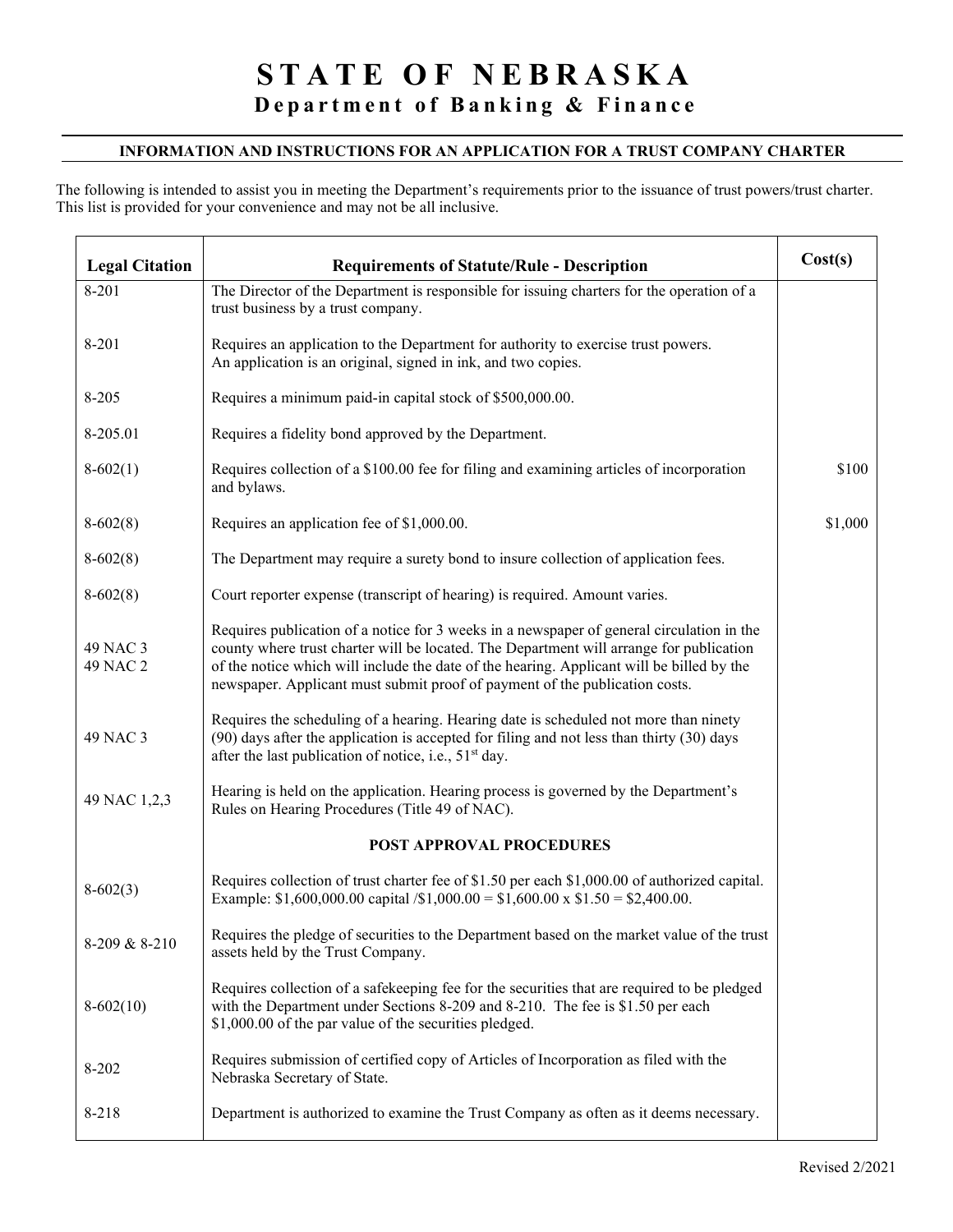#### **INFORMATION AND INSTRUCTIONS FOR AN APPLICATION FOR A TRUST COMPANY CHARTER**

The following is intended to assist you in meeting the Department's requirements prior to the issuance of trust powers/trust charter. This list is provided for your convenience and may not be all inclusive.

| <b>Legal Citation</b> | <b>Requirements of Statute/Rule - Description</b>                                                                                                                                                                                                                                                                                                                | Cost(s) |
|-----------------------|------------------------------------------------------------------------------------------------------------------------------------------------------------------------------------------------------------------------------------------------------------------------------------------------------------------------------------------------------------------|---------|
| 8-201                 | The Director of the Department is responsible for issuing charters for the operation of a<br>trust business by a trust company.                                                                                                                                                                                                                                  |         |
| 8-201                 | Requires an application to the Department for authority to exercise trust powers.<br>An application is an original, signed in ink, and two copies.                                                                                                                                                                                                               |         |
| 8-205                 | Requires a minimum paid-in capital stock of \$500,000.00.                                                                                                                                                                                                                                                                                                        |         |
| 8-205.01              | Requires a fidelity bond approved by the Department.                                                                                                                                                                                                                                                                                                             |         |
| $8-602(1)$            | Requires collection of a \$100.00 fee for filing and examining articles of incorporation<br>and bylaws.                                                                                                                                                                                                                                                          | \$100   |
| $8-602(8)$            | Requires an application fee of \$1,000.00.                                                                                                                                                                                                                                                                                                                       | \$1,000 |
| $8-602(8)$            | The Department may require a surety bond to insure collection of application fees.                                                                                                                                                                                                                                                                               |         |
| $8-602(8)$            | Court reporter expense (transcript of hearing) is required. Amount varies.                                                                                                                                                                                                                                                                                       |         |
| 49 NAC 3<br>49 NAC 2  | Requires publication of a notice for 3 weeks in a newspaper of general circulation in the<br>county where trust charter will be located. The Department will arrange for publication<br>of the notice which will include the date of the hearing. Applicant will be billed by the<br>newspaper. Applicant must submit proof of payment of the publication costs. |         |
| 49 NAC 3              | Requires the scheduling of a hearing. Hearing date is scheduled not more than ninety<br>(90) days after the application is accepted for filing and not less than thirty (30) days<br>after the last publication of notice, i.e., 51 <sup>st</sup> day.                                                                                                           |         |
| 49 NAC 1,2,3          | Hearing is held on the application. Hearing process is governed by the Department's<br>Rules on Hearing Procedures (Title 49 of NAC).                                                                                                                                                                                                                            |         |
|                       | <b>POST APPROVAL PROCEDURES</b>                                                                                                                                                                                                                                                                                                                                  |         |
| $8-602(3)$            | Requires collection of trust charter fee of \$1.50 per each \$1,000.00 of authorized capital.<br>Example: \$1,600,000.00 capital $\sin(0.000) = 1,600.00 \times 1.50 = 2,400.00$ .                                                                                                                                                                               |         |
| 8-209 & 8-210         | Requires the pledge of securities to the Department based on the market value of the trust<br>assets held by the Trust Company.                                                                                                                                                                                                                                  |         |
| $8-602(10)$           | Requires collection of a safekeeping fee for the securities that are required to be pledged<br>with the Department under Sections 8-209 and 8-210. The fee is \$1.50 per each<br>\$1,000.00 of the par value of the securities pledged.                                                                                                                          |         |
| 8-202                 | Requires submission of certified copy of Articles of Incorporation as filed with the<br>Nebraska Secretary of State.                                                                                                                                                                                                                                             |         |
| 8-218                 | Department is authorized to examine the Trust Company as often as it deems necessary.                                                                                                                                                                                                                                                                            |         |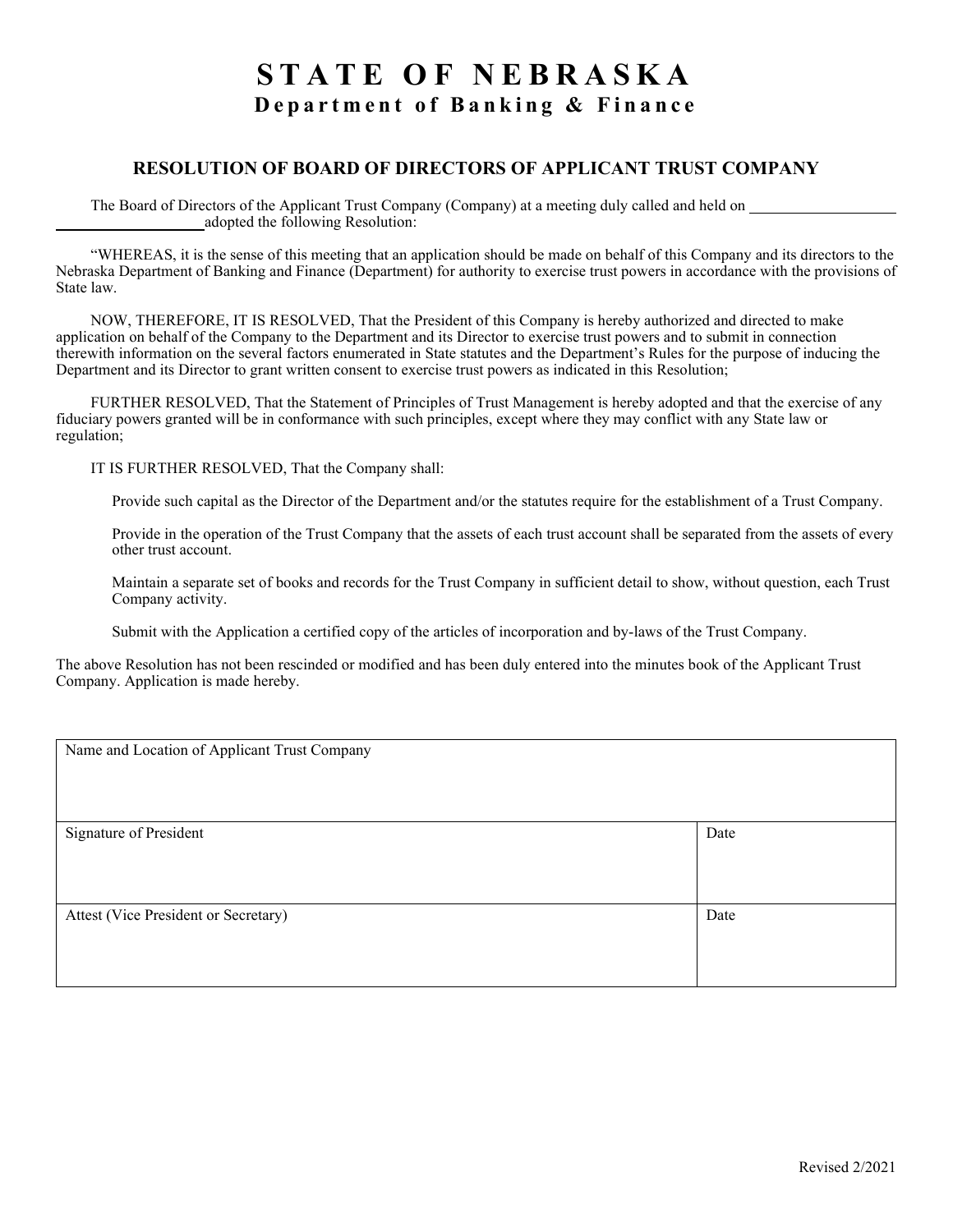# **STATE OF NEBRASKA Department of Banking & Finance**

#### **RESOLUTION OF BOARD OF DIRECTORS OF APPLICANT TRUST COMPANY**

The Board of Directors of the Applicant Trust Company (Company) at a meeting duly called and held on adopted the following Resolution:

"WHEREAS, it is the sense of this meeting that an application should be made on behalf of this Company and its directors to the Nebraska Department of Banking and Finance (Department) for authority to exercise trust powers in accordance with the provisions of State law.

NOW, THEREFORE, IT IS RESOLVED, That the President of this Company is hereby authorized and directed to make application on behalf of the Company to the Department and its Director to exercise trust powers and to submit in connection therewith information on the several factors enumerated in State statutes and the Department's Rules for the purpose of inducing the Department and its Director to grant written consent to exercise trust powers as indicated in this Resolution;

FURTHER RESOLVED, That the Statement of Principles of Trust Management is hereby adopted and that the exercise of any fiduciary powers granted will be in conformance with such principles, except where they may conflict with any State law or regulation;

IT IS FURTHER RESOLVED, That the Company shall:

Provide such capital as the Director of the Department and/or the statutes require for the establishment of a Trust Company.

Provide in the operation of the Trust Company that the assets of each trust account shall be separated from the assets of every other trust account.

Maintain a separate set of books and records for the Trust Company in sufficient detail to show, without question, each Trust Company activity.

Submit with the Application a certified copy of the articles of incorporation and by-laws of the Trust Company.

The above Resolution has not been rescinded or modified and has been duly entered into the minutes book of the Applicant Trust Company. Application is made hereby.

| Name and Location of Applicant Trust Company |      |
|----------------------------------------------|------|
| Signature of President                       | Date |
| Attest (Vice President or Secretary)         | Date |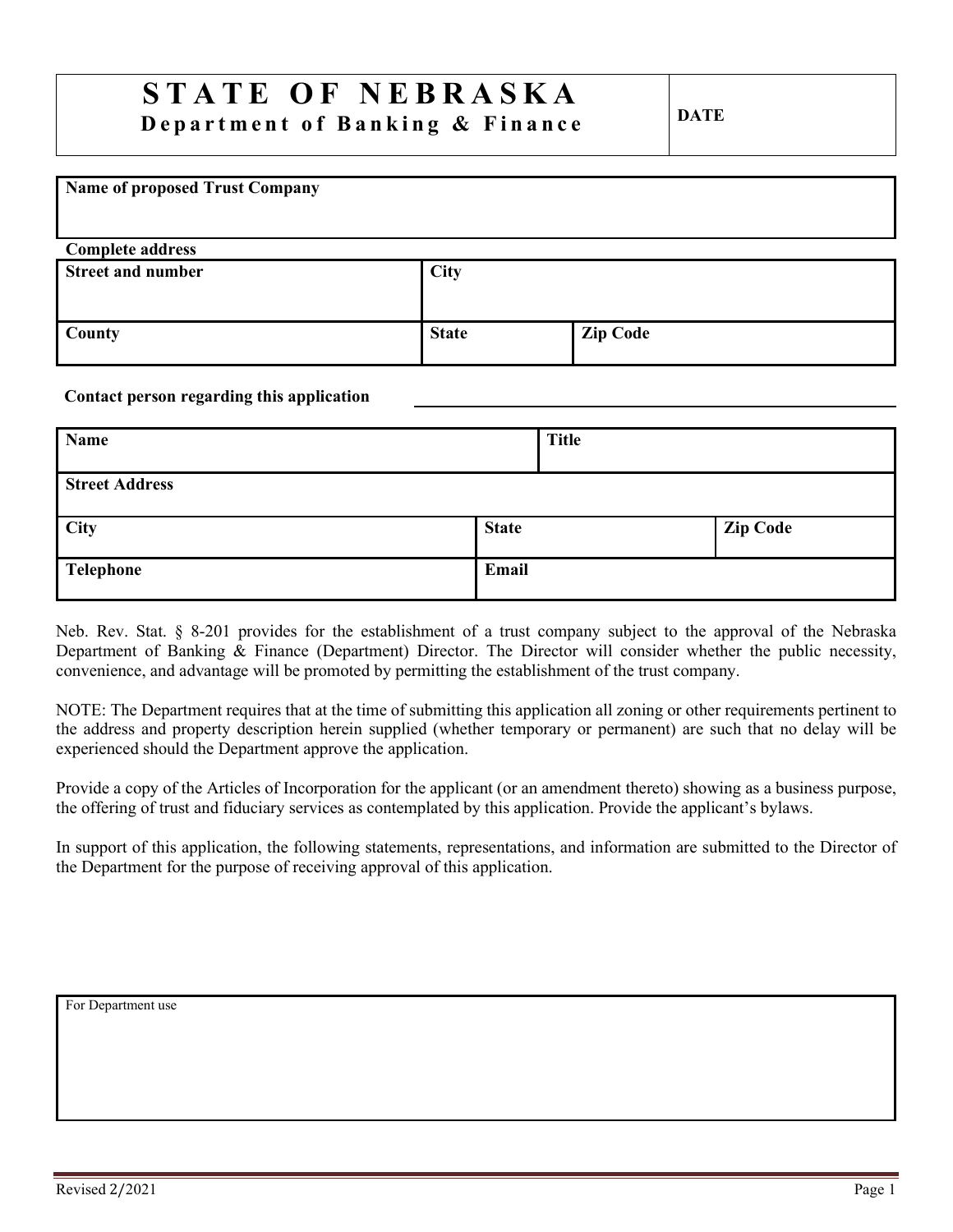# **STATE OF NEBRASKA Department of Banking & Finance DATE**

# **Name of proposed Trust Company Complete address Street and number City County County County Zip Code**

#### **Contact person regarding this application**

| Name                  |              | <b>Title</b> |                 |
|-----------------------|--------------|--------------|-----------------|
| <b>Street Address</b> |              |              |                 |
| <b>City</b>           | <b>State</b> |              | <b>Zip Code</b> |
| Telephone             | Email        |              |                 |

Neb. Rev. Stat. § 8-201 provides for the establishment of a trust company subject to the approval of the Nebraska Department of Banking & Finance (Department) Director. The Director will consider whether the public necessity, convenience, and advantage will be promoted by permitting the establishment of the trust company.

NOTE: The Department requires that at the time of submitting this application all zoning or other requirements pertinent to the address and property description herein supplied (whether temporary or permanent) are such that no delay will be experienced should the Department approve the application.

Provide a copy of the Articles of Incorporation for the applicant (or an amendment thereto) showing as a business purpose, the offering of trust and fiduciary services as contemplated by this application. Provide the applicant's bylaws.

In support of this application, the following statements, representations, and information are submitted to the Director of the Department for the purpose of receiving approval of this application.

For Department use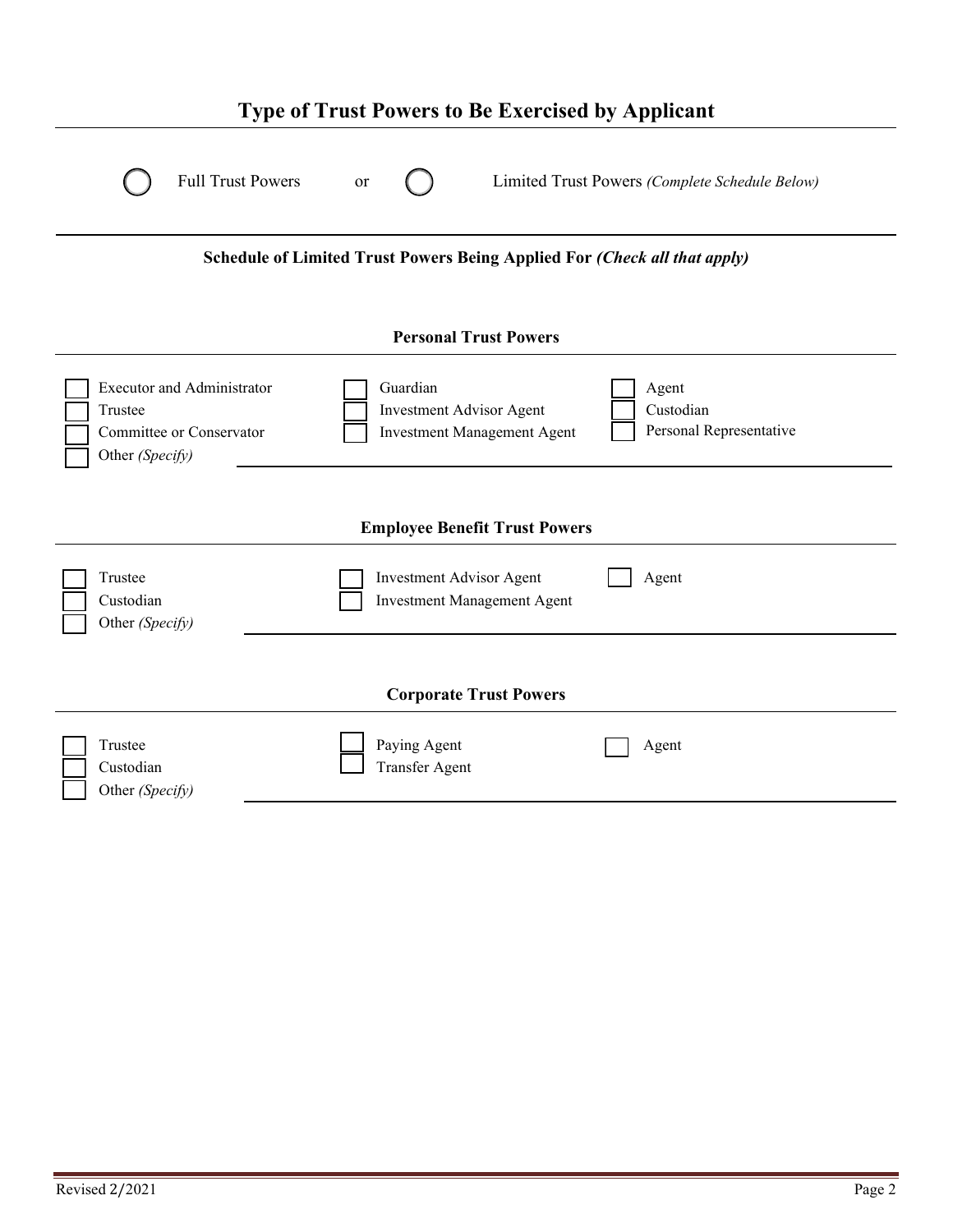| <b>Type of Trust Powers to Be Exercised by Applicant</b>                                                                                                                  |                                                |  |
|---------------------------------------------------------------------------------------------------------------------------------------------------------------------------|------------------------------------------------|--|
| <b>Full Trust Powers</b><br>or                                                                                                                                            | Limited Trust Powers (Complete Schedule Below) |  |
| Schedule of Limited Trust Powers Being Applied For (Check all that apply)                                                                                                 |                                                |  |
| <b>Personal Trust Powers</b>                                                                                                                                              |                                                |  |
| Guardian<br><b>Executor and Administrator</b><br>Investment Advisor Agent<br>Trustee<br>Committee or Conservator<br><b>Investment Management Agent</b><br>Other (Specify) | Agent<br>Custodian<br>Personal Representative  |  |
| <b>Employee Benefit Trust Powers</b>                                                                                                                                      |                                                |  |
| <b>Investment Advisor Agent</b><br>Trustee<br>Custodian<br><b>Investment Management Agent</b><br>Other (Specify)                                                          | Agent                                          |  |
| <b>Corporate Trust Powers</b>                                                                                                                                             |                                                |  |
| Trustee<br>Paying Agent<br><b>Transfer Agent</b><br>Custodian<br>Other (Specify)                                                                                          | Agent                                          |  |
|                                                                                                                                                                           |                                                |  |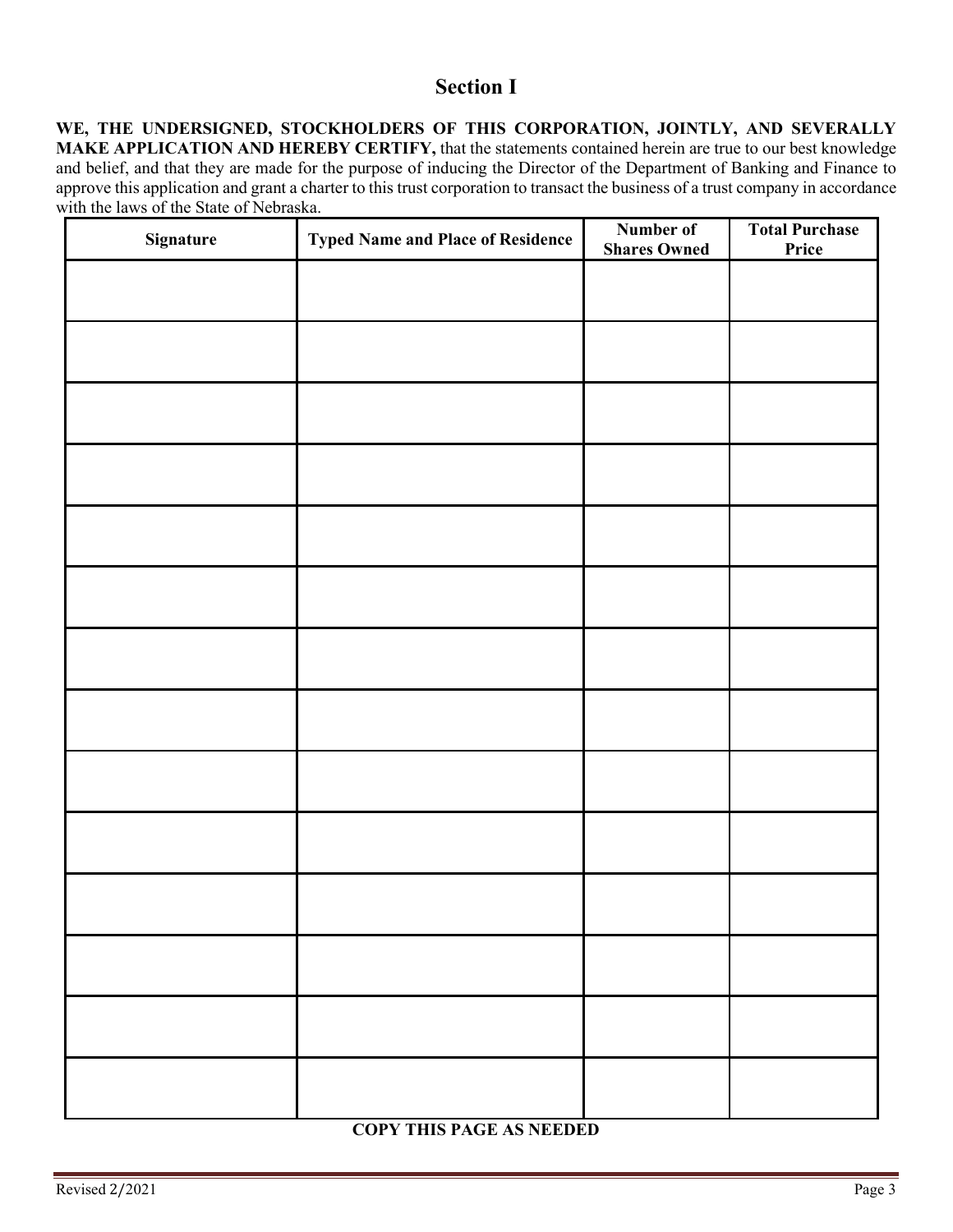## **Section I**

**WE, THE UNDERSIGNED, STOCKHOLDERS OF THIS CORPORATION, JOINTLY, AND SEVERALLY MAKE APPLICATION AND HEREBY CERTIFY,** that the statements contained herein are true to our best knowledge and belief, and that they are made for the purpose of inducing the Director of the Department of Banking and Finance to approve this application and grant a charter to this trust corporation to transact the business of a trust company in accordance with the laws of the State of Nebraska.

| Signature | <b>Typed Name and Place of Residence</b> | Number of<br><b>Shares Owned</b> | <b>Total Purchase</b><br>Price |
|-----------|------------------------------------------|----------------------------------|--------------------------------|
|           |                                          |                                  |                                |
|           |                                          |                                  |                                |
|           |                                          |                                  |                                |
|           |                                          |                                  |                                |
|           |                                          |                                  |                                |
|           |                                          |                                  |                                |
|           |                                          |                                  |                                |
|           |                                          |                                  |                                |
|           |                                          |                                  |                                |
|           |                                          |                                  |                                |
|           |                                          |                                  |                                |
|           |                                          |                                  |                                |
|           |                                          |                                  |                                |
|           |                                          |                                  |                                |

#### **COPY THIS PAGE AS NEEDED**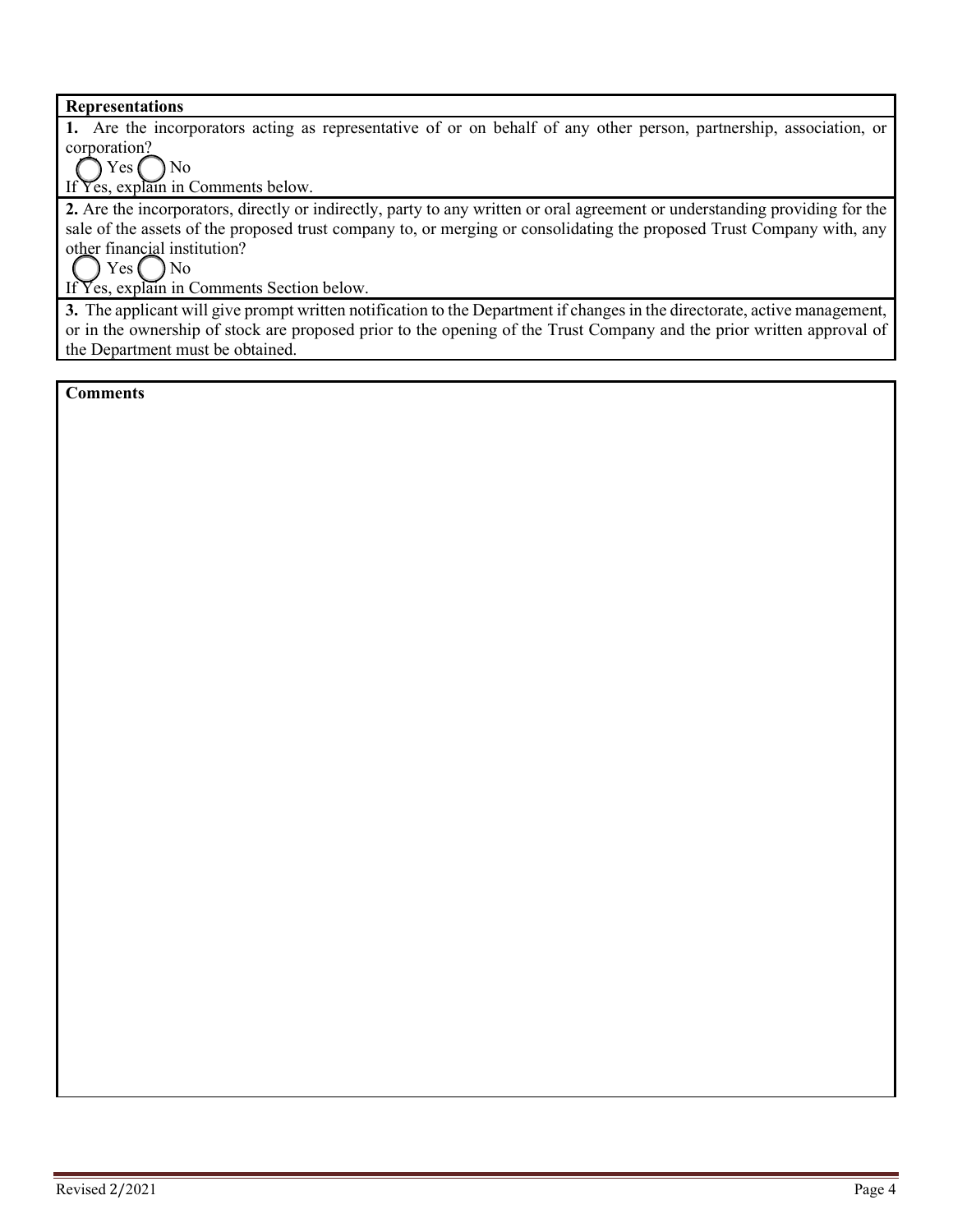#### **Representations**

**1.** Are the incorporators acting as representative of or on behalf of any other person, partnership, association, or corporation?

 $Yes$   $\bigcap$  No

If Yes, explain in Comments below.

**2.** Are the incorporators, directly or indirectly, party to any written or oral agreement or understanding providing for the sale of the assets of the proposed trust company to, or merging or consolidating the proposed Trust Company with, any other financial institution?

 $Yes( ) No$ 

If Yes, explain in Comments Section below.

**3.** The applicant will give prompt written notification to the Department if changes in the directorate, active management, or in the ownership of stock are proposed prior to the opening of the Trust Company and the prior written approval of the Department must be obtained.

**Comments**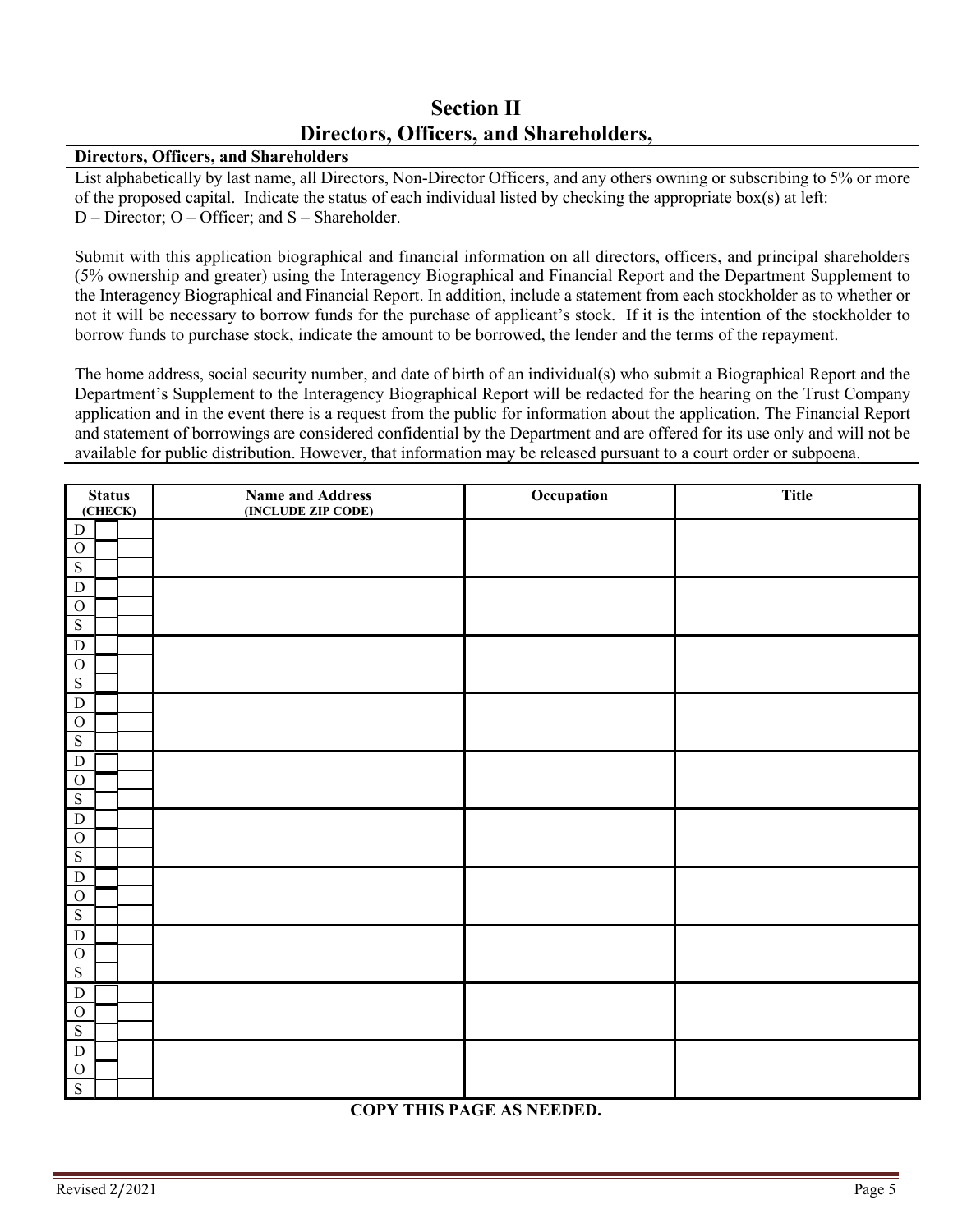## **Section II Directors, Officers, and Shareholders,**

#### **Directors, Officers, and Shareholders**

List alphabetically by last name, all Directors, Non-Director Officers, and any others owning or subscribing to 5% or more of the proposed capital. Indicate the status of each individual listed by checking the appropriate box(s) at left: D – Director; O – Officer; and S – Shareholder.

Submit with this application biographical and financial information on all directors, officers, and principal shareholders (5% ownership and greater) using the Interagency Biographical and Financial Report and the Department Supplement to the Interagency Biographical and Financial Report. In addition, include a statement from each stockholder as to whether or not it will be necessary to borrow funds for the purchase of applicant's stock. If it is the intention of the stockholder to borrow funds to purchase stock, indicate the amount to be borrowed, the lender and the terms of the repayment.

The home address, social security number, and date of birth of an individual(s) who submit a Biographical Report and the Department's Supplement to the Interagency Biographical Report will be redacted for the hearing on the Trust Company application and in the event there is a request from the public for information about the application. The Financial Report and statement of borrowings are considered confidential by the Department and are offered for its use only and will not be available for public distribution. However, that information may be released pursuant to a court order or subpoena.

| <b>Status</b><br>(CHECK)    | <b>Name and Address</b><br>(INCLUDE ZIP CODE) | Occupation | <b>Title</b> |
|-----------------------------|-----------------------------------------------|------------|--------------|
| $\overline{D}$              |                                               |            |              |
| ${\cal O}$                  |                                               |            |              |
| $\overline{S}$              |                                               |            |              |
| $\overline{D}$              |                                               |            |              |
| $\mathbf{O}$                |                                               |            |              |
| $\overline{\mathbf{S}}$     |                                               |            |              |
| ${\bf D}$                   |                                               |            |              |
| ${\cal O}$                  |                                               |            |              |
| $\overline{S}$              |                                               |            |              |
| ${\bf D}$                   |                                               |            |              |
| ${\cal O}$                  |                                               |            |              |
| ${\bf S}$                   |                                               |            |              |
| ${\bf D}$                   |                                               |            |              |
| $\overline{O}$              |                                               |            |              |
| $\overline{S}$              |                                               |            |              |
| ${\bf D}$                   |                                               |            |              |
| $\overline{O}$              |                                               |            |              |
| $\overline{S}$              |                                               |            |              |
| ${\bf D}$                   |                                               |            |              |
| $\mathbf O$                 |                                               |            |              |
| ${\bf S}$                   |                                               |            |              |
| ${\bf D}$                   |                                               |            |              |
| $\mathbf{O}$<br>${\bf S}$   |                                               |            |              |
|                             |                                               |            |              |
| ${\bf D}$<br>$\overline{O}$ |                                               |            |              |
| ${\bf S}$                   |                                               |            |              |
| ${\bf D}$                   |                                               |            |              |
| $\mathcal O$                |                                               |            |              |
| $\overline{S}$              |                                               |            |              |

#### **COPY THIS PAGE AS NEEDED.**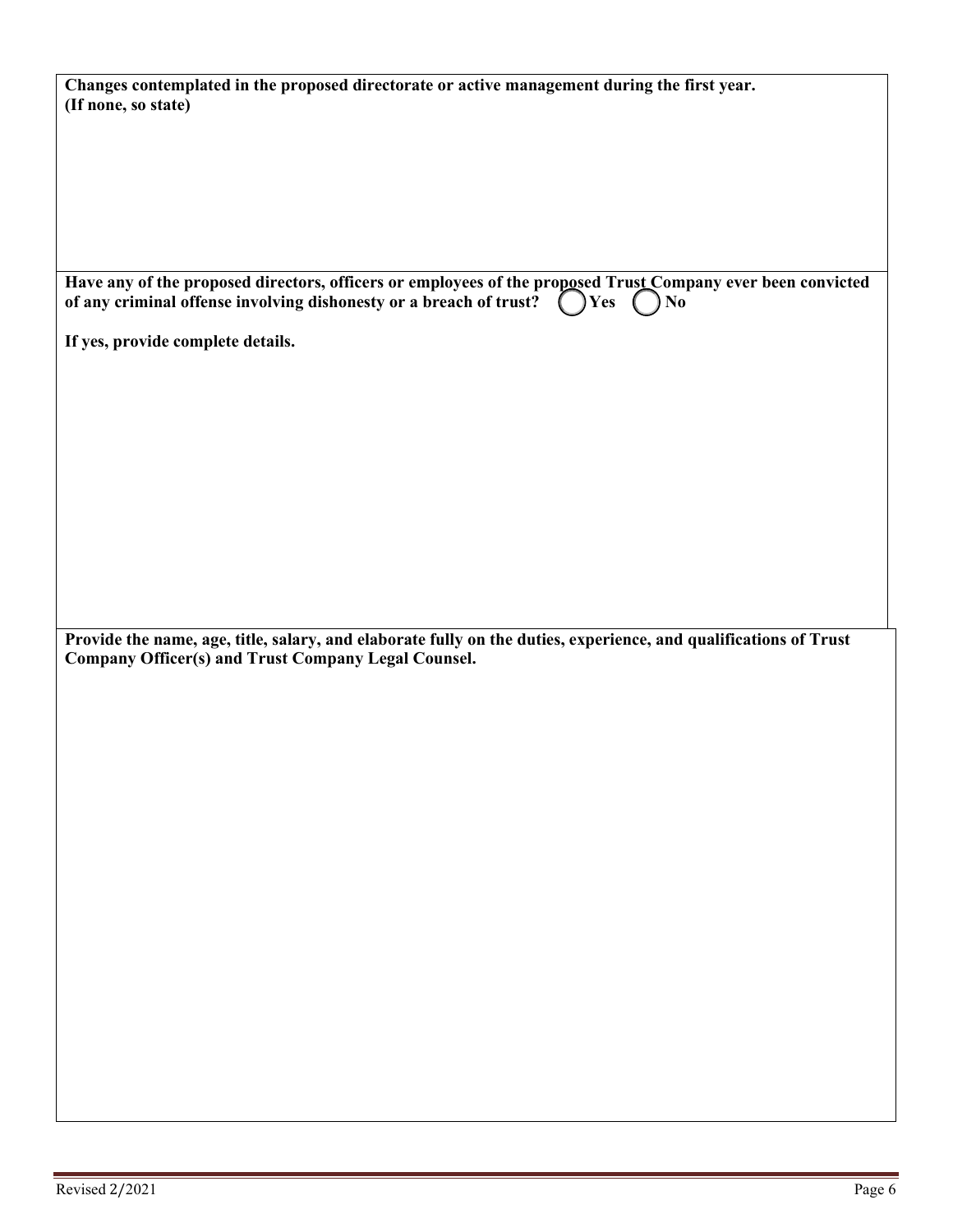| Changes contemplated in the proposed directorate or active management during the first year. |
|----------------------------------------------------------------------------------------------|
|                                                                                              |
|                                                                                              |
|                                                                                              |
|                                                                                              |
|                                                                                              |
|                                                                                              |
|                                                                                              |

| Have any of the proposed directors, officers or employees of the proposed Trust Company ever been convicted of any criminal offense involving dishonesty or a breach of trust? $\bigcirc$ Yes $\bigcirc$ No |  |
|-------------------------------------------------------------------------------------------------------------------------------------------------------------------------------------------------------------|--|

**If yes, provide complete details.** 

**Provide the name, age, title, salary, and elaborate fully on the duties, experience, and qualifications of Trust Company Officer(s) and Trust Company Legal Counsel.**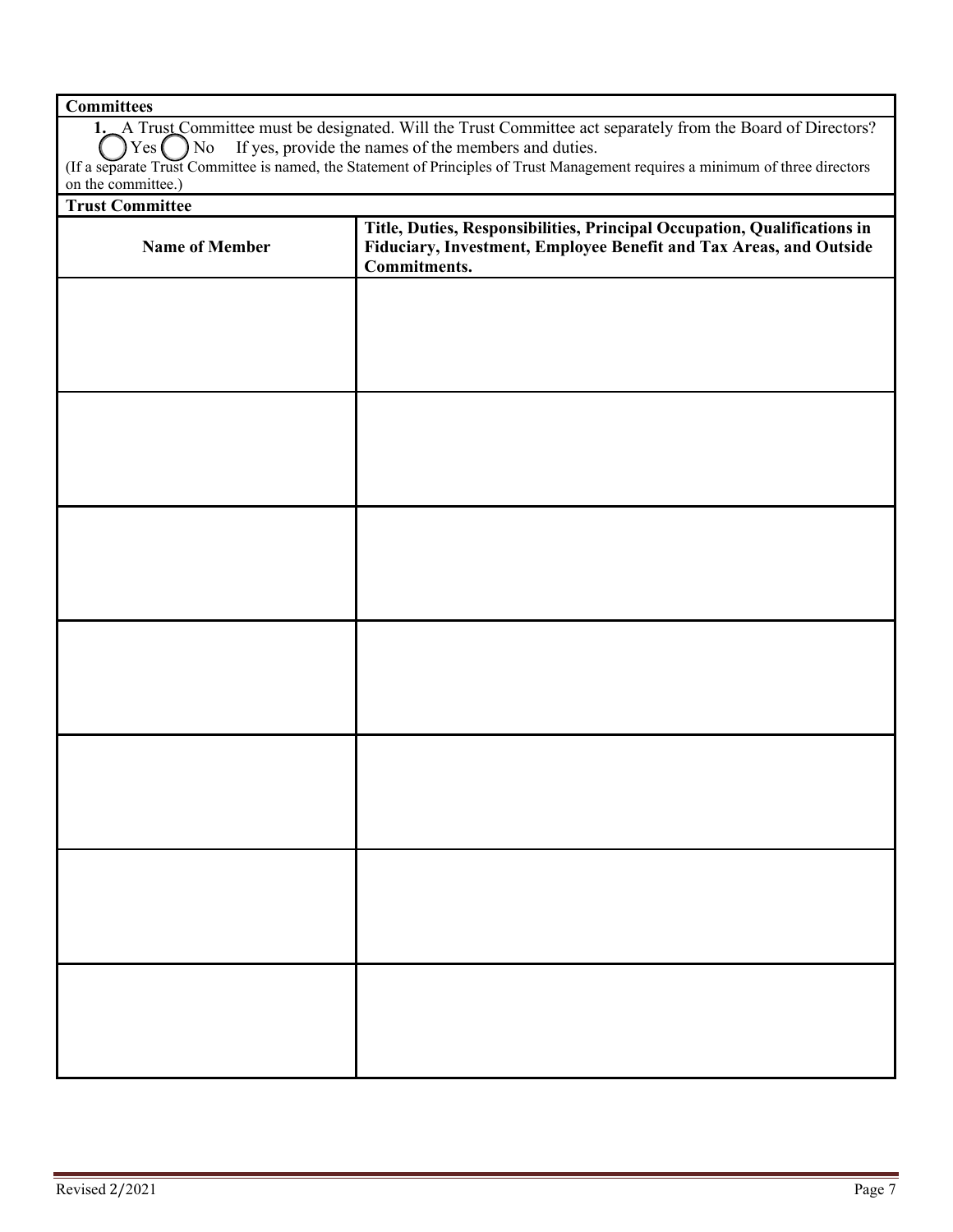## **Committees**

| 1. A Trust Committee must be designated. Will the Trust Committee act separately from the Board of Directors?                  |
|--------------------------------------------------------------------------------------------------------------------------------|
| $\bigcirc$ Yes $\bigcirc$ No If yes, provide the names of the members and duties.                                              |
| (If a separate Trust Committee is named, the Statement of Principles of Trust Management requires a minimum of three directors |
| on the committee.                                                                                                              |

### **Trust Committee**

| <b>Name of Member</b> | Title, Duties, Responsibilities, Principal Occupation, Qualifications in<br>Fiduciary, Investment, Employee Benefit and Tax Areas, and Outside<br>Commitments. |
|-----------------------|----------------------------------------------------------------------------------------------------------------------------------------------------------------|
|                       |                                                                                                                                                                |
|                       |                                                                                                                                                                |
|                       |                                                                                                                                                                |
|                       |                                                                                                                                                                |
|                       |                                                                                                                                                                |
|                       |                                                                                                                                                                |
|                       |                                                                                                                                                                |
|                       |                                                                                                                                                                |
|                       |                                                                                                                                                                |
|                       |                                                                                                                                                                |
|                       |                                                                                                                                                                |
|                       |                                                                                                                                                                |
|                       |                                                                                                                                                                |
|                       |                                                                                                                                                                |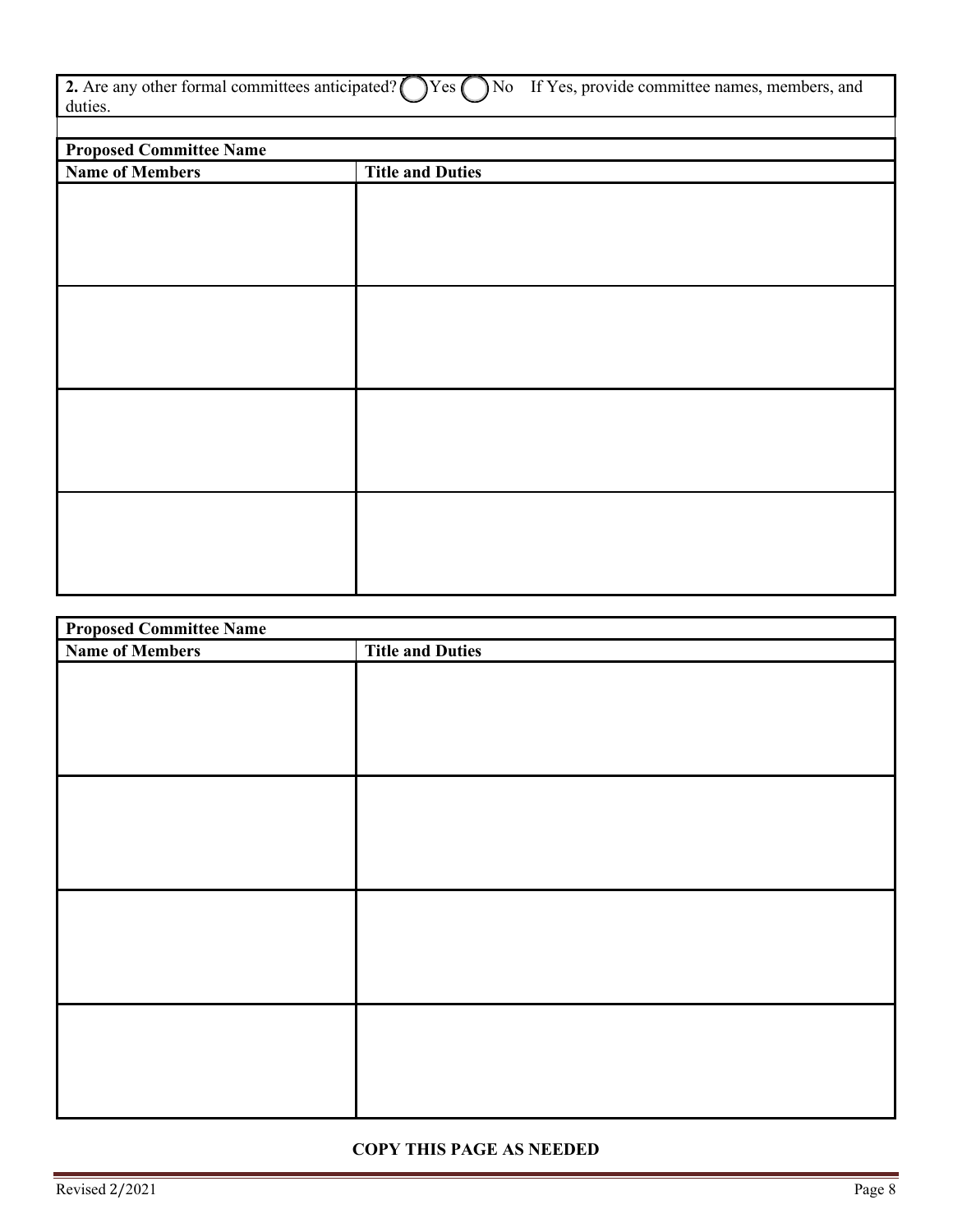|         | 2. Are any other formal committees anticipated? $\bigcirc$ Yes $\bigcirc$ No If Yes, provide committee names, members, and |
|---------|----------------------------------------------------------------------------------------------------------------------------|
| duties. |                                                                                                                            |

| <b>Proposed Committee Name</b> |                         |  |
|--------------------------------|-------------------------|--|
| <b>Name of Members</b>         | <b>Title and Duties</b> |  |
|                                |                         |  |
|                                |                         |  |
|                                |                         |  |
|                                |                         |  |
|                                |                         |  |
|                                |                         |  |
|                                |                         |  |
|                                |                         |  |
|                                |                         |  |
|                                |                         |  |
|                                |                         |  |
|                                |                         |  |
|                                |                         |  |
|                                |                         |  |
|                                |                         |  |
|                                |                         |  |
|                                |                         |  |
|                                |                         |  |
|                                |                         |  |
|                                |                         |  |
|                                |                         |  |

| <b>Proposed Committee Name</b> |                         |  |  |  |
|--------------------------------|-------------------------|--|--|--|
| <b>Name of Members</b>         | <b>Title and Duties</b> |  |  |  |
|                                |                         |  |  |  |
|                                |                         |  |  |  |
|                                |                         |  |  |  |
|                                |                         |  |  |  |
|                                |                         |  |  |  |
|                                |                         |  |  |  |
|                                |                         |  |  |  |
|                                |                         |  |  |  |
|                                |                         |  |  |  |
|                                |                         |  |  |  |
|                                |                         |  |  |  |
|                                |                         |  |  |  |
|                                |                         |  |  |  |
|                                |                         |  |  |  |
|                                |                         |  |  |  |
|                                |                         |  |  |  |
|                                |                         |  |  |  |
|                                |                         |  |  |  |
|                                |                         |  |  |  |
|                                |                         |  |  |  |

### **COPY THIS PAGE AS NEEDED**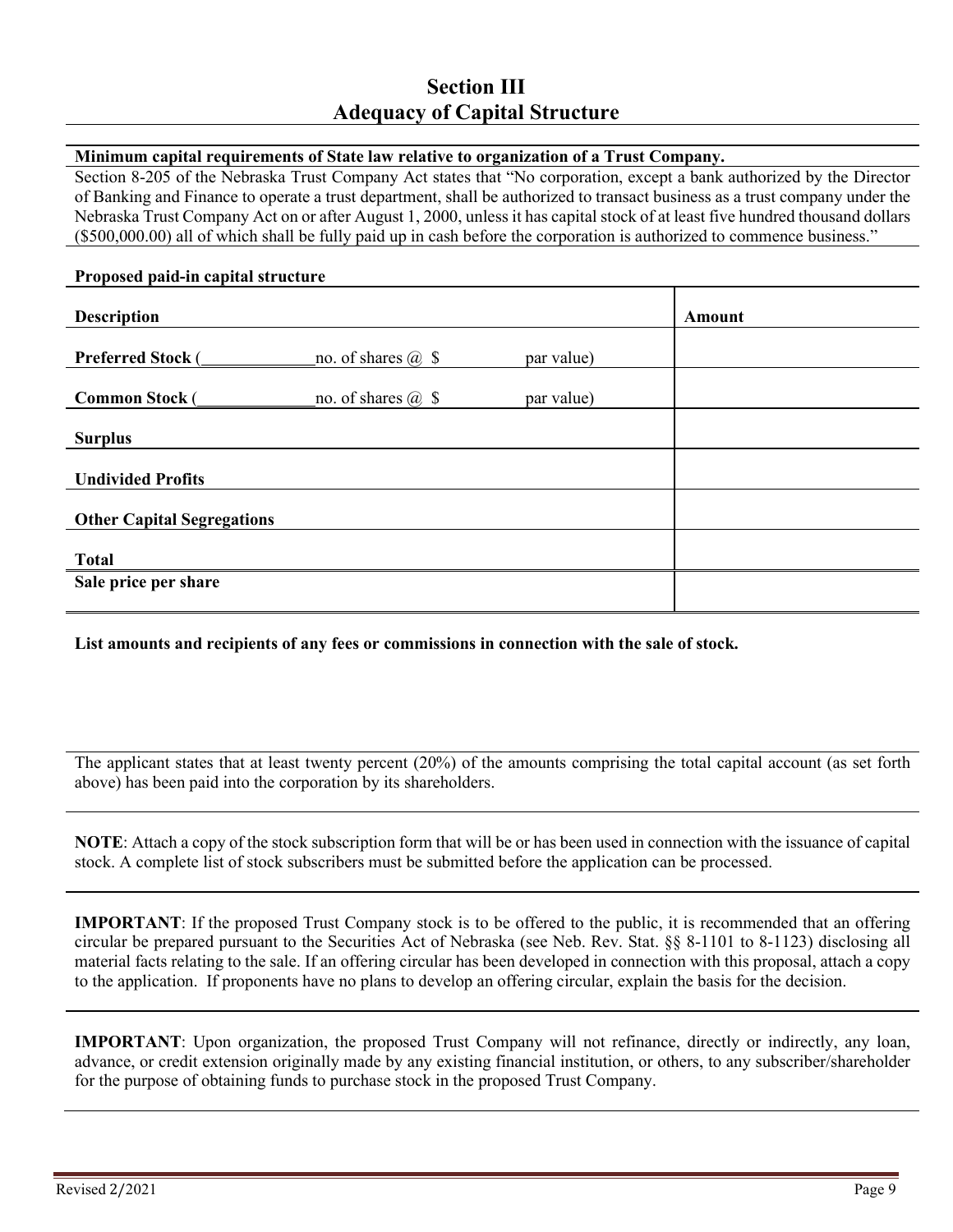## **Section III Adequacy of Capital Structure**

#### **Minimum capital requirements of State law relative to organization of a Trust Company.**

Section 8-205 of the Nebraska Trust Company Act states that "No corporation, except a bank authorized by the Director of Banking and Finance to operate a trust department, shall be authorized to transact business as a trust company under the Nebraska Trust Company Act on or after August 1, 2000, unless it has capital stock of at least five hundred thousand dollars (\$500,000.00) all of which shall be fully paid up in cash before the corporation is authorized to commence business."

#### **Proposed paid-in capital structure**

| <b>Description</b>                |                           |            | <b>Amount</b> |  |
|-----------------------------------|---------------------------|------------|---------------|--|
| <b>Preferred Stock (</b>          | no. of shares $@$ \$      | par value) |               |  |
| <b>Common Stock (</b>             | no. of shares $\omega$ \$ | par value) |               |  |
| <b>Surplus</b>                    |                           |            |               |  |
| <b>Undivided Profits</b>          |                           |            |               |  |
| <b>Other Capital Segregations</b> |                           |            |               |  |
| <b>Total</b>                      |                           |            |               |  |
| Sale price per share              |                           |            |               |  |

**List amounts and recipients of any fees or commissions in connection with the sale of stock.**

The applicant states that at least twenty percent (20%) of the amounts comprising the total capital account (as set forth above) has been paid into the corporation by its shareholders.

**NOTE**: Attach a copy of the stock subscription form that will be or has been used in connection with the issuance of capital stock. A complete list of stock subscribers must be submitted before the application can be processed.

**IMPORTANT**: If the proposed Trust Company stock is to be offered to the public, it is recommended that an offering circular be prepared pursuant to the Securities Act of Nebraska (see Neb. Rev. Stat. §§ 8-1101 to 8-1123) disclosing all material facts relating to the sale. If an offering circular has been developed in connection with this proposal, attach a copy to the application. If proponents have no plans to develop an offering circular, explain the basis for the decision.

**IMPORTANT**: Upon organization, the proposed Trust Company will not refinance, directly or indirectly, any loan, advance, or credit extension originally made by any existing financial institution, or others, to any subscriber/shareholder for the purpose of obtaining funds to purchase stock in the proposed Trust Company.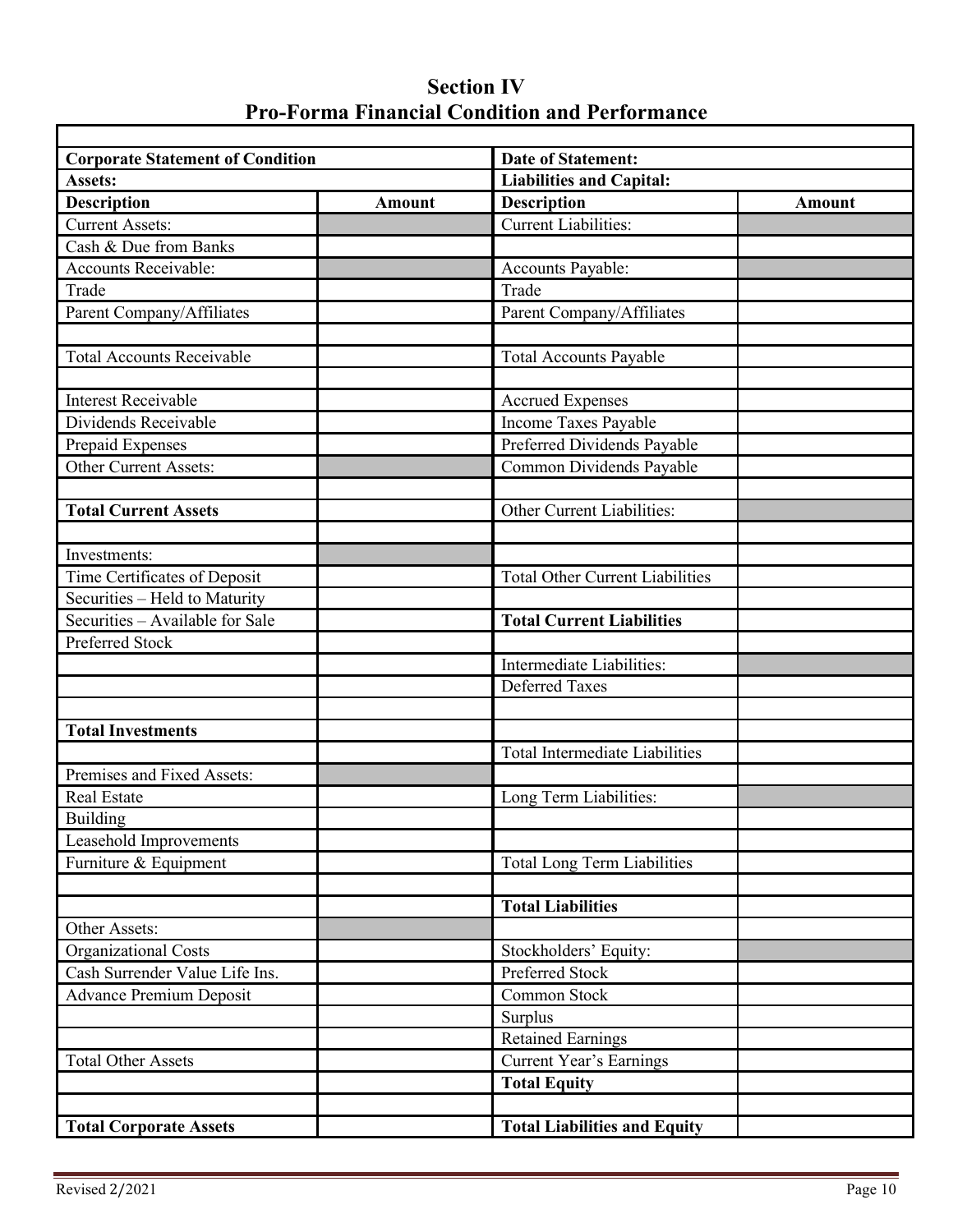# **Section IV Pro-Forma Financial Condition and Performance**

| <b>Corporate Statement of Condition</b> |               | <b>Date of Statement:</b>              |               |  |
|-----------------------------------------|---------------|----------------------------------------|---------------|--|
| <b>Assets:</b>                          |               | <b>Liabilities and Capital:</b>        |               |  |
| <b>Description</b>                      | <b>Amount</b> | <b>Description</b>                     | <b>Amount</b> |  |
| <b>Current Assets:</b>                  |               | <b>Current Liabilities:</b>            |               |  |
| Cash & Due from Banks                   |               |                                        |               |  |
| Accounts Receivable:                    |               | Accounts Payable:                      |               |  |
| Trade                                   |               | Trade                                  |               |  |
| Parent Company/Affiliates               |               | Parent Company/Affiliates              |               |  |
|                                         |               |                                        |               |  |
| <b>Total Accounts Receivable</b>        |               | <b>Total Accounts Payable</b>          |               |  |
| <b>Interest Receivable</b>              |               | <b>Accrued Expenses</b>                |               |  |
| Dividends Receivable                    |               | Income Taxes Payable                   |               |  |
| Prepaid Expenses                        |               | Preferred Dividends Payable            |               |  |
| Other Current Assets:                   |               | Common Dividends Payable               |               |  |
|                                         |               |                                        |               |  |
| <b>Total Current Assets</b>             |               | Other Current Liabilities:             |               |  |
|                                         |               |                                        |               |  |
| Investments:                            |               |                                        |               |  |
| Time Certificates of Deposit            |               | <b>Total Other Current Liabilities</b> |               |  |
| Securities - Held to Maturity           |               |                                        |               |  |
| Securities - Available for Sale         |               | <b>Total Current Liabilities</b>       |               |  |
| Preferred Stock                         |               |                                        |               |  |
|                                         |               | Intermediate Liabilities:              |               |  |
|                                         |               | <b>Deferred Taxes</b>                  |               |  |
| <b>Total Investments</b>                |               |                                        |               |  |
|                                         |               | <b>Total Intermediate Liabilities</b>  |               |  |
| Premises and Fixed Assets:              |               |                                        |               |  |
| Real Estate                             |               | Long Term Liabilities:                 |               |  |
| Building                                |               |                                        |               |  |
| Leasehold Improvements                  |               |                                        |               |  |
| Furniture & Equipment                   |               | <b>Total Long Term Liabilities</b>     |               |  |
|                                         |               |                                        |               |  |
|                                         |               | <b>Total Liabilities</b>               |               |  |
| Other Assets:                           |               |                                        |               |  |
| <b>Organizational Costs</b>             |               | Stockholders' Equity:                  |               |  |
| Cash Surrender Value Life Ins.          |               | <b>Preferred Stock</b>                 |               |  |
| <b>Advance Premium Deposit</b>          |               | Common Stock                           |               |  |
|                                         |               | Surplus                                |               |  |
|                                         |               | <b>Retained Earnings</b>               |               |  |
| <b>Total Other Assets</b>               |               | <b>Current Year's Earnings</b>         |               |  |
|                                         |               | <b>Total Equity</b>                    |               |  |
|                                         |               |                                        |               |  |
| <b>Total Corporate Assets</b>           |               | <b>Total Liabilities and Equity</b>    |               |  |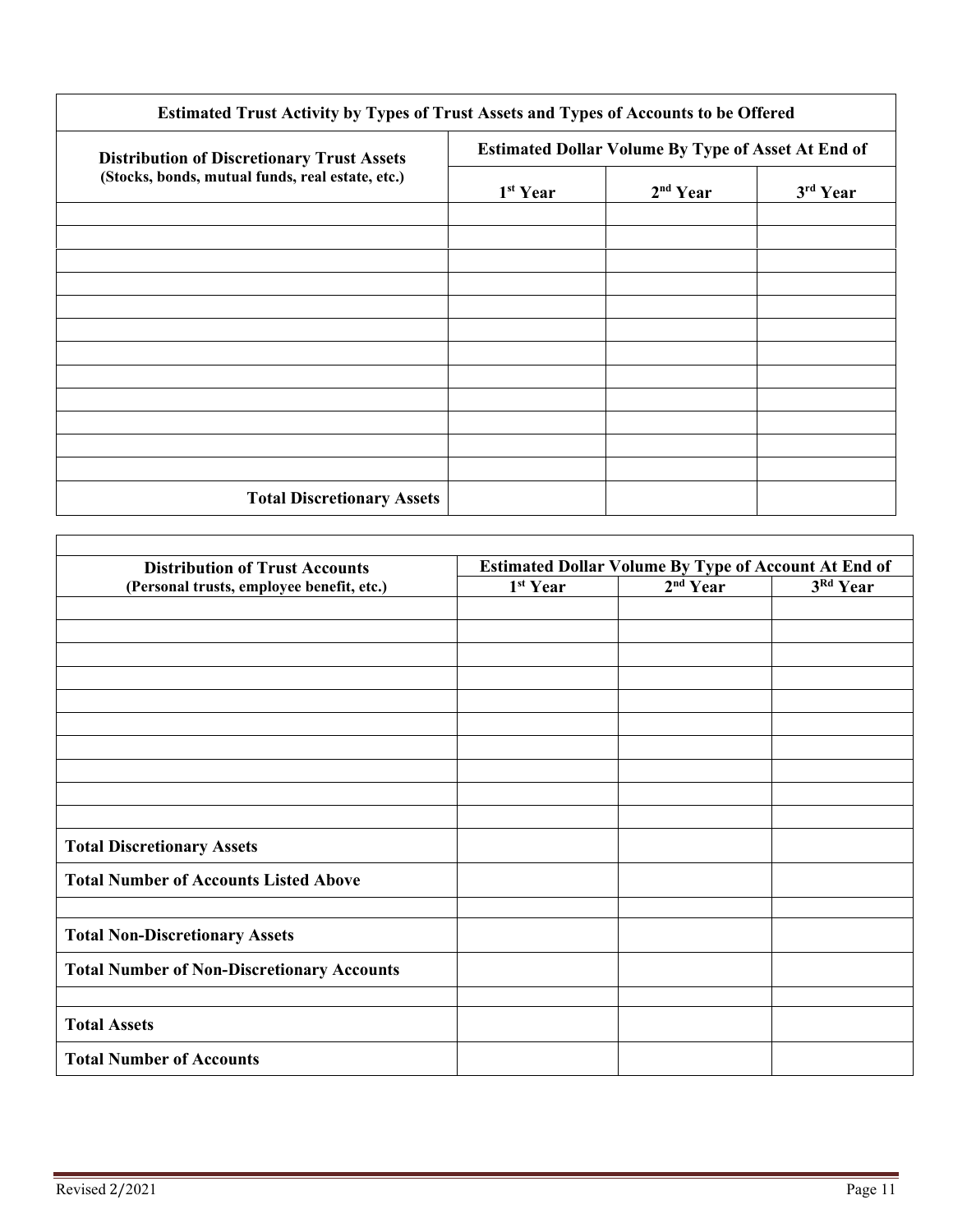| Estimated Trust Activity by Types of Trust Assets and Types of Accounts to be Offered |                                                           |                      |          |  |
|---------------------------------------------------------------------------------------|-----------------------------------------------------------|----------------------|----------|--|
| <b>Distribution of Discretionary Trust Assets</b>                                     | <b>Estimated Dollar Volume By Type of Asset At End of</b> |                      |          |  |
| (Stocks, bonds, mutual funds, real estate, etc.)                                      | 1 <sup>st</sup> Year                                      | 2 <sup>nd</sup> Year | 3rd Year |  |
|                                                                                       |                                                           |                      |          |  |
|                                                                                       |                                                           |                      |          |  |
|                                                                                       |                                                           |                      |          |  |
|                                                                                       |                                                           |                      |          |  |
|                                                                                       |                                                           |                      |          |  |
|                                                                                       |                                                           |                      |          |  |
| <b>Total Discretionary Assets</b>                                                     |                                                           |                      |          |  |

| <b>Distribution of Trust Accounts</b>             | <b>Estimated Dollar Volume By Type of Account At End of</b> |                      |          |
|---------------------------------------------------|-------------------------------------------------------------|----------------------|----------|
| (Personal trusts, employee benefit, etc.)         | 1 <sup>st</sup> Year                                        | 2 <sup>nd</sup> Year | 3Rd Year |
|                                                   |                                                             |                      |          |
|                                                   |                                                             |                      |          |
|                                                   |                                                             |                      |          |
|                                                   |                                                             |                      |          |
|                                                   |                                                             |                      |          |
|                                                   |                                                             |                      |          |
|                                                   |                                                             |                      |          |
|                                                   |                                                             |                      |          |
|                                                   |                                                             |                      |          |
|                                                   |                                                             |                      |          |
| <b>Total Discretionary Assets</b>                 |                                                             |                      |          |
| <b>Total Number of Accounts Listed Above</b>      |                                                             |                      |          |
|                                                   |                                                             |                      |          |
| <b>Total Non-Discretionary Assets</b>             |                                                             |                      |          |
| <b>Total Number of Non-Discretionary Accounts</b> |                                                             |                      |          |
|                                                   |                                                             |                      |          |
| <b>Total Assets</b>                               |                                                             |                      |          |
| <b>Total Number of Accounts</b>                   |                                                             |                      |          |

 $\Gamma$ 

٦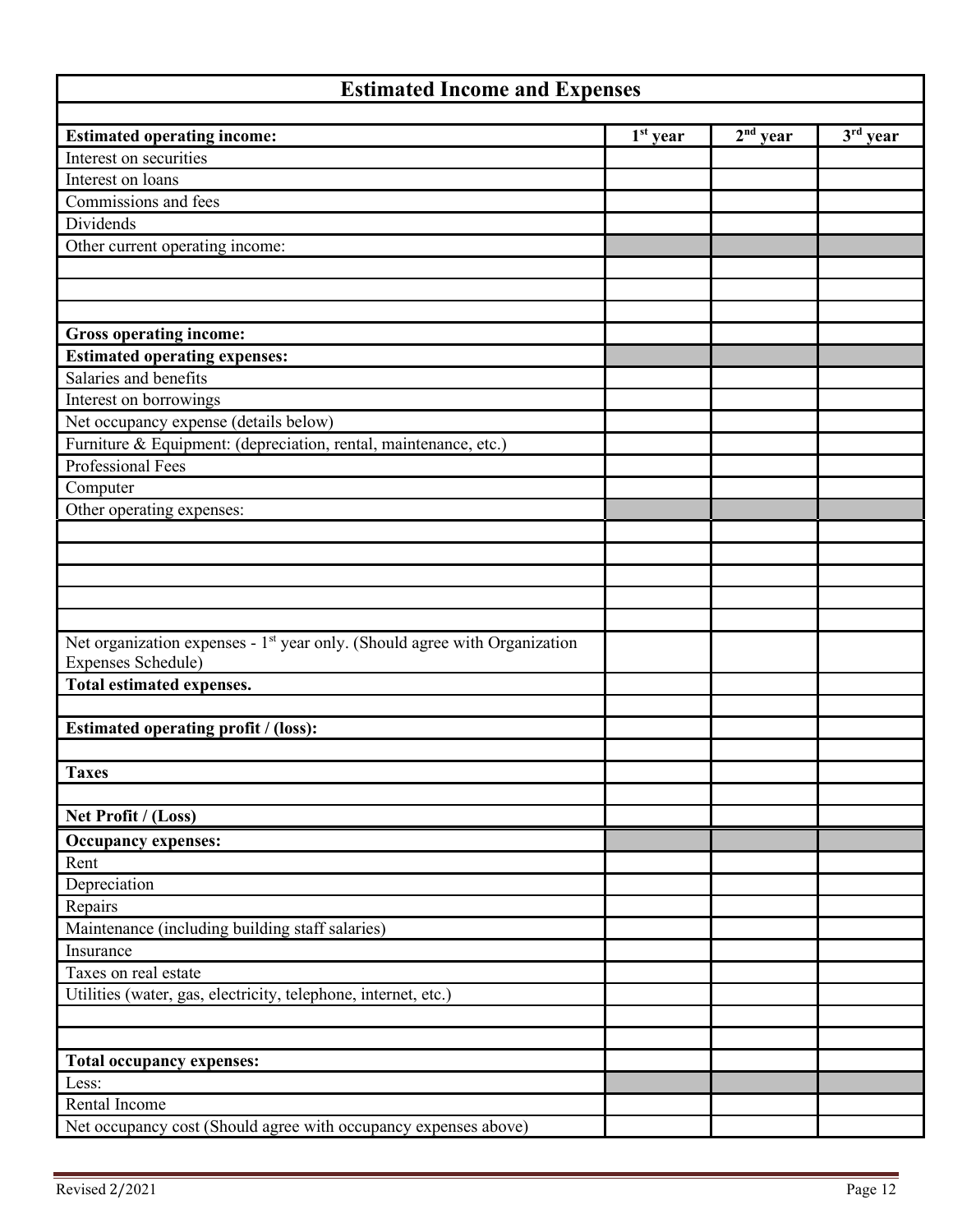| <b>Estimated Income and Expenses</b>                                                   |            |            |          |
|----------------------------------------------------------------------------------------|------------|------------|----------|
|                                                                                        | $1st$ year | $2nd$ year | 3rd year |
| <b>Estimated operating income:</b><br>Interest on securities                           |            |            |          |
| Interest on loans                                                                      |            |            |          |
| Commissions and fees                                                                   |            |            |          |
| Dividends                                                                              |            |            |          |
| Other current operating income:                                                        |            |            |          |
|                                                                                        |            |            |          |
|                                                                                        |            |            |          |
|                                                                                        |            |            |          |
| Gross operating income:                                                                |            |            |          |
| <b>Estimated operating expenses:</b>                                                   |            |            |          |
| Salaries and benefits                                                                  |            |            |          |
| Interest on borrowings                                                                 |            |            |          |
| Net occupancy expense (details below)                                                  |            |            |          |
| Furniture & Equipment: (depreciation, rental, maintenance, etc.)                       |            |            |          |
| Professional Fees                                                                      |            |            |          |
| Computer                                                                               |            |            |          |
| Other operating expenses:                                                              |            |            |          |
|                                                                                        |            |            |          |
|                                                                                        |            |            |          |
|                                                                                        |            |            |          |
|                                                                                        |            |            |          |
|                                                                                        |            |            |          |
| Net organization expenses - 1 <sup>st</sup> year only. (Should agree with Organization |            |            |          |
| Expenses Schedule)                                                                     |            |            |          |
| Total estimated expenses.                                                              |            |            |          |
|                                                                                        |            |            |          |
| Estimated operating profit / (loss):                                                   |            |            |          |
|                                                                                        |            |            |          |
| <b>Taxes</b>                                                                           |            |            |          |
|                                                                                        |            |            |          |
| Net Profit / (Loss)                                                                    |            |            |          |
| <b>Occupancy expenses:</b>                                                             |            |            |          |
| Rent                                                                                   |            |            |          |
| Depreciation                                                                           |            |            |          |
| Repairs                                                                                |            |            |          |
| Maintenance (including building staff salaries)                                        |            |            |          |
| Insurance                                                                              |            |            |          |
| Taxes on real estate                                                                   |            |            |          |
| Utilities (water, gas, electricity, telephone, internet, etc.)                         |            |            |          |
|                                                                                        |            |            |          |
|                                                                                        |            |            |          |
| <b>Total occupancy expenses:</b>                                                       |            |            |          |
| Less:<br>Rental Income                                                                 |            |            |          |
|                                                                                        |            |            |          |
| Net occupancy cost (Should agree with occupancy expenses above)                        |            |            |          |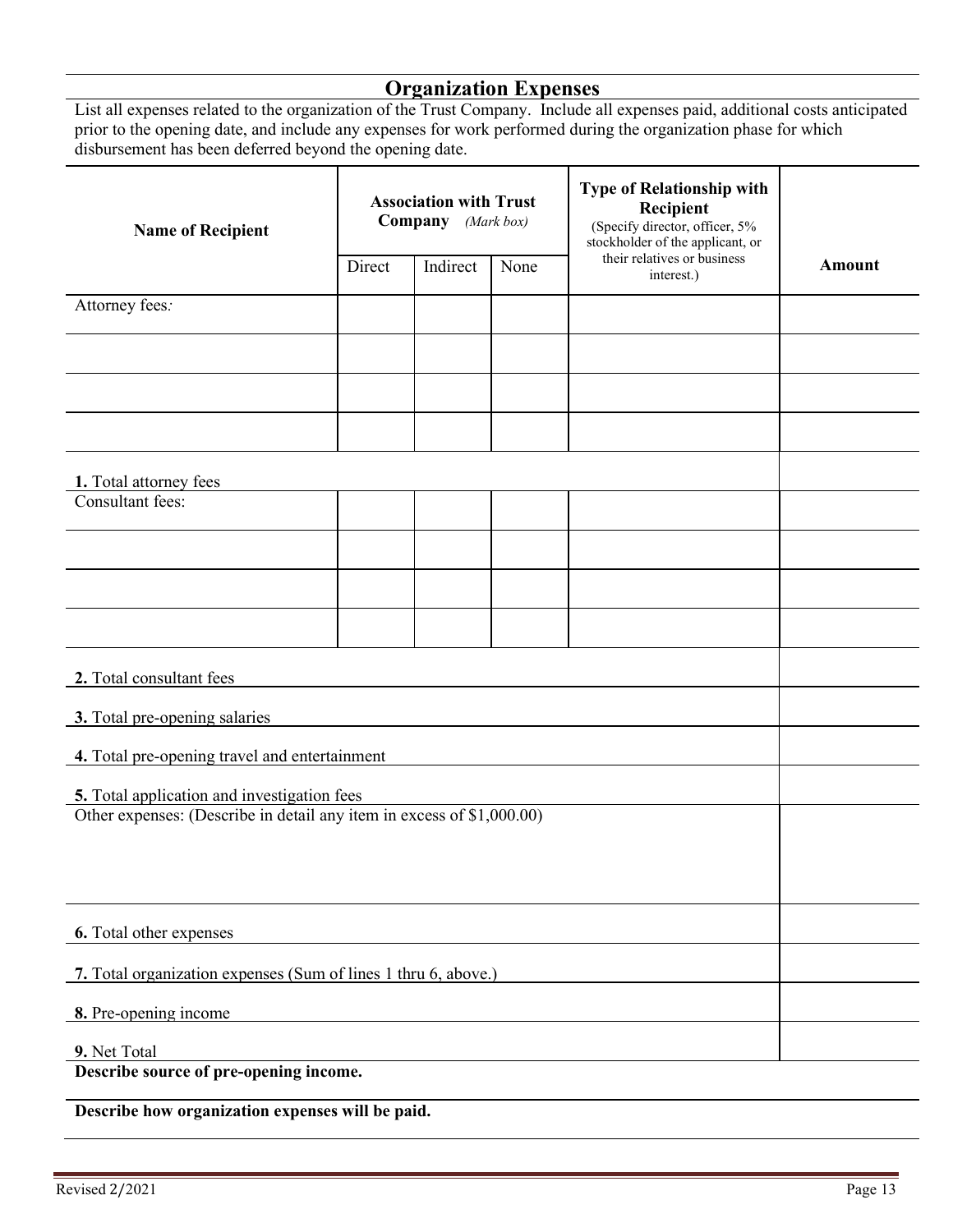# **Organization Expenses**

List all expenses related to the organization of the Trust Company. Include all expenses paid, additional costs anticipated prior to the opening date, and include any expenses for work performed during the organization phase for which disbursement has been deferred beyond the opening date.

| <b>Name of Recipient</b>                                              | <b>Association with Trust</b><br><b>Company</b> (Mark box) |  |      | <b>Type of Relationship with</b><br>Recipient<br>(Specify director, officer, 5%<br>stockholder of the applicant, or |               |
|-----------------------------------------------------------------------|------------------------------------------------------------|--|------|---------------------------------------------------------------------------------------------------------------------|---------------|
|                                                                       | Direct<br>Indirect                                         |  | None | their relatives or business<br>interest.)                                                                           | <b>Amount</b> |
| Attorney fees:                                                        |                                                            |  |      |                                                                                                                     |               |
|                                                                       |                                                            |  |      |                                                                                                                     |               |
|                                                                       |                                                            |  |      |                                                                                                                     |               |
|                                                                       |                                                            |  |      |                                                                                                                     |               |
| 1. Total attorney fees                                                |                                                            |  |      |                                                                                                                     |               |
| Consultant fees:                                                      |                                                            |  |      |                                                                                                                     |               |
|                                                                       |                                                            |  |      |                                                                                                                     |               |
|                                                                       |                                                            |  |      |                                                                                                                     |               |
|                                                                       |                                                            |  |      |                                                                                                                     |               |
| 2. Total consultant fees                                              |                                                            |  |      |                                                                                                                     |               |
| 3. Total pre-opening salaries                                         |                                                            |  |      |                                                                                                                     |               |
| 4. Total pre-opening travel and entertainment                         |                                                            |  |      |                                                                                                                     |               |
| 5. Total application and investigation fees                           |                                                            |  |      |                                                                                                                     |               |
| Other expenses: (Describe in detail any item in excess of \$1,000.00) |                                                            |  |      |                                                                                                                     |               |
|                                                                       |                                                            |  |      |                                                                                                                     |               |
|                                                                       |                                                            |  |      |                                                                                                                     |               |
| 6. Total other expenses                                               |                                                            |  |      |                                                                                                                     |               |
| 7. Total organization expenses (Sum of lines 1 thru 6, above.)        |                                                            |  |      |                                                                                                                     |               |
| 8. Pre-opening income                                                 |                                                            |  |      |                                                                                                                     |               |
| 9. Net Total<br>Describe source of pre-opening income.                |                                                            |  |      |                                                                                                                     |               |
|                                                                       |                                                            |  |      |                                                                                                                     |               |

**Describe how organization expenses will be paid.**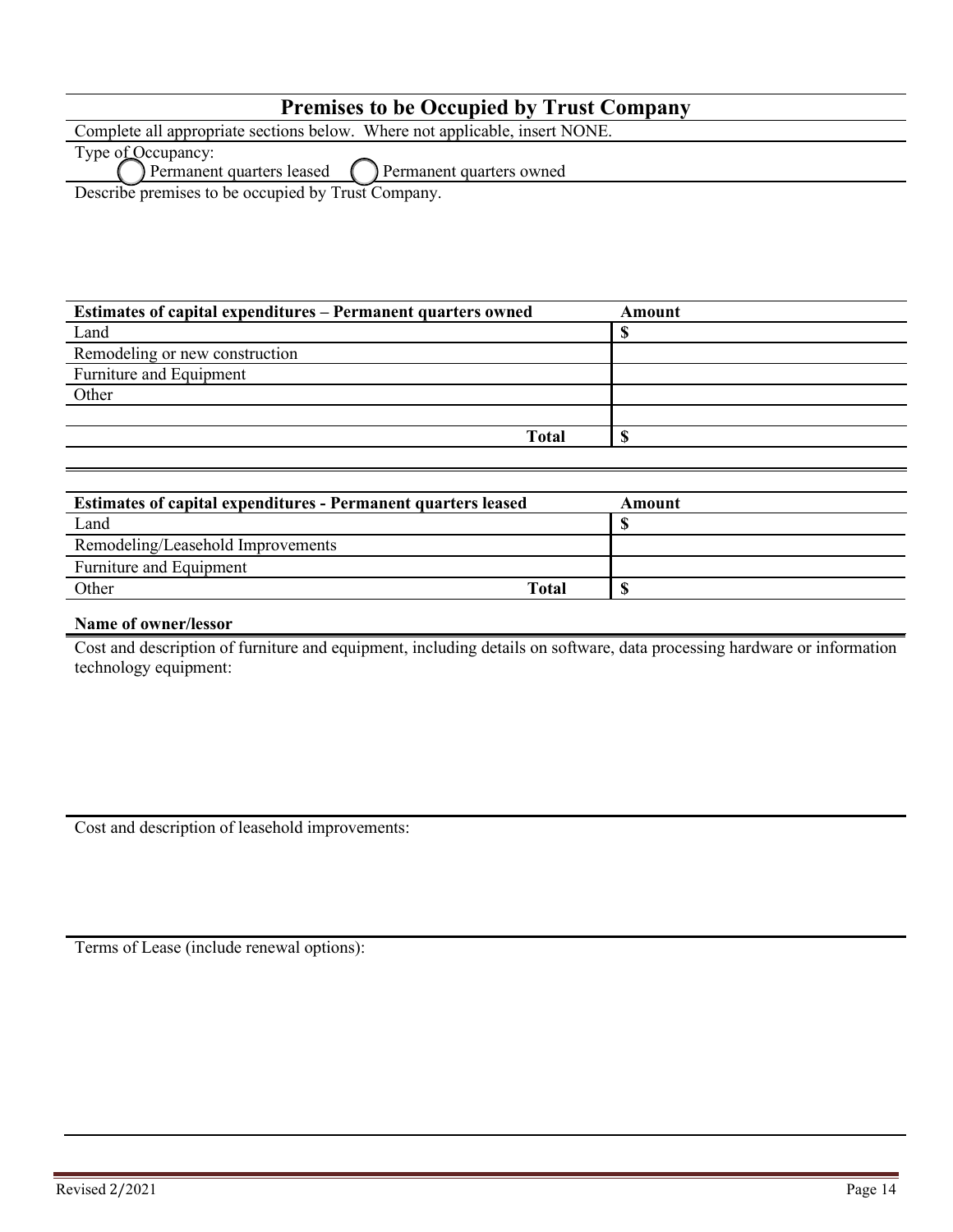| <b>Premises to be Occupied by Trust Company</b>                             |
|-----------------------------------------------------------------------------|
| Complete all appropriate sections below. Where not applicable, insert NONE. |
| Type of Occupancy:                                                          |
| Permanent quarters leased $\bigcap$ Permanent quarters owned                |

Describe premises to be occupied by Trust Company.

| Estimates of capital expenditures – Permanent quarters owned | Amount |
|--------------------------------------------------------------|--------|
| Land                                                         |        |
| Remodeling or new construction                               |        |
| Furniture and Equipment                                      |        |
| Other                                                        |        |
|                                                              |        |
| <b>Total</b>                                                 |        |

| <b>Estimates of capital expenditures - Permanent quarters leased</b> | Amount |
|----------------------------------------------------------------------|--------|
| Land                                                                 |        |
| Remodeling/Leasehold Improvements                                    |        |
| Furniture and Equipment                                              |        |
| Other<br>Total                                                       |        |

#### **Name of owner/lessor**

Cost and description of furniture and equipment, including details on software, data processing hardware or information technology equipment:

Cost and description of leasehold improvements:

Terms of Lease (include renewal options):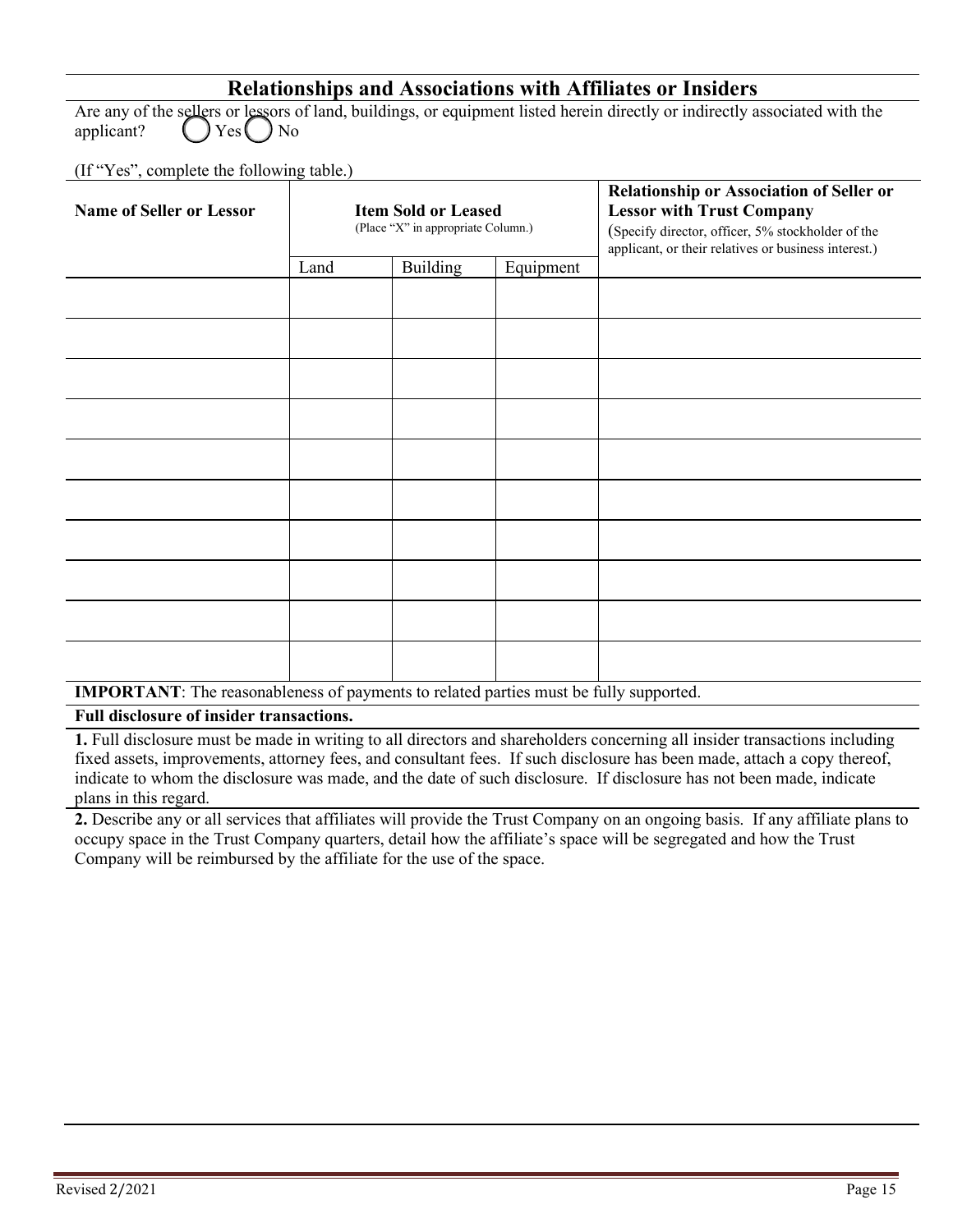## **Relationships and Associations with Affiliates or Insiders**

Are any of the sellers or lessors of land, buildings, or equipment listed herein directly or indirectly associated with the applicant?  $\bigcap_{k=1}^{\infty} Y_{k}$ applicant?  $\left( \right)$  Yes  $\left( \right)$  No

(If "Yes", complete the following table.)

| <b>Name of Seller or Lessor</b>    | <b>Item Sold or Leased</b><br>(Place "X" in appropriate Column.) |          |           | <b>Relationship or Association of Seller or</b><br><b>Lessor with Trust Company</b><br>(Specify director, officer, 5% stockholder of the<br>applicant, or their relatives or business interest.) |  |
|------------------------------------|------------------------------------------------------------------|----------|-----------|--------------------------------------------------------------------------------------------------------------------------------------------------------------------------------------------------|--|
|                                    | Land                                                             | Building | Equipment |                                                                                                                                                                                                  |  |
|                                    |                                                                  |          |           |                                                                                                                                                                                                  |  |
|                                    |                                                                  |          |           |                                                                                                                                                                                                  |  |
|                                    |                                                                  |          |           |                                                                                                                                                                                                  |  |
|                                    |                                                                  |          |           |                                                                                                                                                                                                  |  |
|                                    |                                                                  |          |           |                                                                                                                                                                                                  |  |
|                                    |                                                                  |          |           |                                                                                                                                                                                                  |  |
|                                    |                                                                  |          |           |                                                                                                                                                                                                  |  |
|                                    |                                                                  |          |           |                                                                                                                                                                                                  |  |
|                                    |                                                                  |          |           |                                                                                                                                                                                                  |  |
| <b><i>Constitution Company</i></b> |                                                                  |          |           | $\sim$ $\sim$                                                                                                                                                                                    |  |

**IMPORTANT**: The reasonableness of payments to related parties must be fully supported.

**Full disclosure of insider transactions.**

**1.** Full disclosure must be made in writing to all directors and shareholders concerning all insider transactions including fixed assets, improvements, attorney fees, and consultant fees. If such disclosure has been made, attach a copy thereof, indicate to whom the disclosure was made, and the date of such disclosure. If disclosure has not been made, indicate plans in this regard.

**2.** Describe any or all services that affiliates will provide the Trust Company on an ongoing basis. If any affiliate plans to occupy space in the Trust Company quarters, detail how the affiliate's space will be segregated and how the Trust Company will be reimbursed by the affiliate for the use of the space.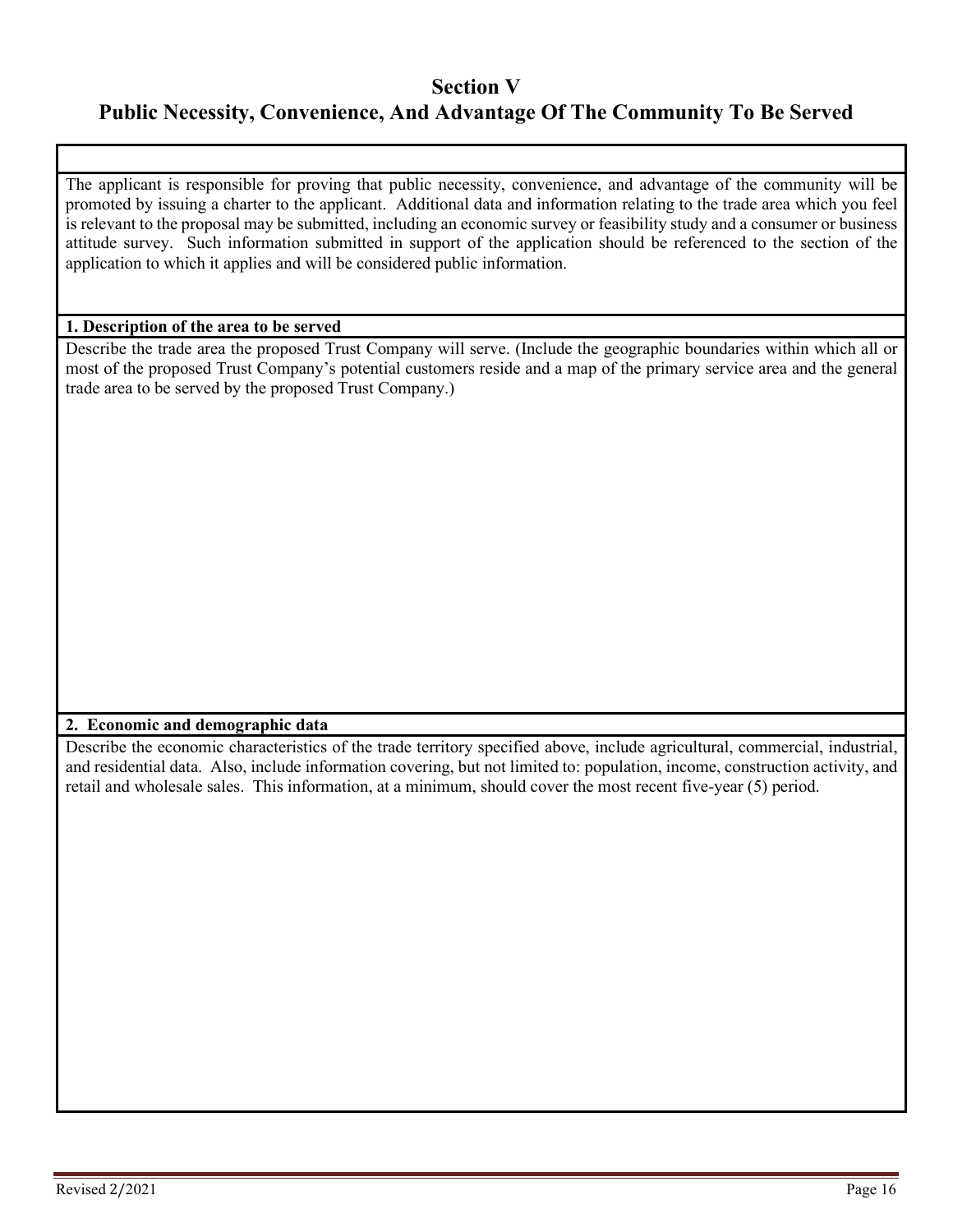## **Section V**

# **Public Necessity, Convenience, And Advantage Of The Community To Be Served**

The applicant is responsible for proving that public necessity, convenience, and advantage of the community will be promoted by issuing a charter to the applicant. Additional data and information relating to the trade area which you feel is relevant to the proposal may be submitted, including an economic survey or feasibility study and a consumer or business attitude survey. Such information submitted in support of the application should be referenced to the section of the application to which it applies and will be considered public information.

#### **1. Description of the area to be served**

Describe the trade area the proposed Trust Company will serve. (Include the geographic boundaries within which all or most of the proposed Trust Company's potential customers reside and a map of the primary service area and the general trade area to be served by the proposed Trust Company.)

#### **2. Economic and demographic data**

Describe the economic characteristics of the trade territory specified above, include agricultural, commercial, industrial, and residential data. Also, include information covering, but not limited to: population, income, construction activity, and retail and wholesale sales. This information, at a minimum, should cover the most recent five-year (5) period.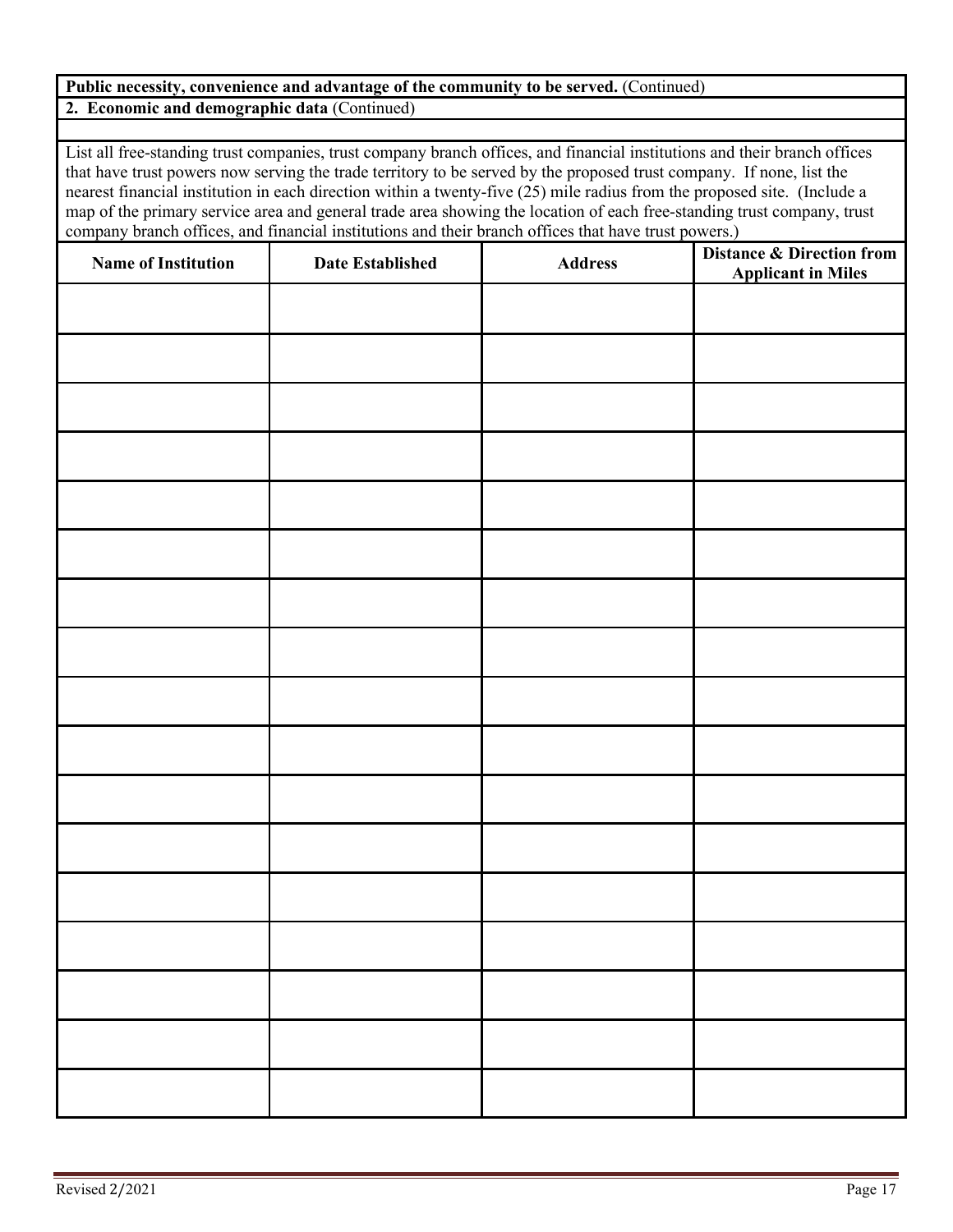#### **Public necessity, convenience and advantage of the community to be served.** (Continued) **2. Economic and demographic data** (Continued)

List all free-standing trust companies, trust company branch offices, and financial institutions and their branch offices that have trust powers now serving the trade territory to be served by the proposed trust company. If none, list the nearest financial institution in each direction within a twenty-five (25) mile radius from the proposed site. (Include a map of the primary service area and general trade area showing the location of each free-standing trust company, trust company branch offices, and financial institutions and their branch offices that have trust powers.)

| <b>Name of Institution</b> | <b>Date Established</b> | Address | <b>Distance &amp; Direction from</b><br><b>Applicant in Miles</b> |
|----------------------------|-------------------------|---------|-------------------------------------------------------------------|
|                            |                         |         |                                                                   |
|                            |                         |         |                                                                   |
|                            |                         |         |                                                                   |
|                            |                         |         |                                                                   |
|                            |                         |         |                                                                   |
|                            |                         |         |                                                                   |
|                            |                         |         |                                                                   |
|                            |                         |         |                                                                   |
|                            |                         |         |                                                                   |
|                            |                         |         |                                                                   |
|                            |                         |         |                                                                   |
|                            |                         |         |                                                                   |
|                            |                         |         |                                                                   |
|                            |                         |         |                                                                   |
|                            |                         |         |                                                                   |
|                            |                         |         |                                                                   |
|                            |                         |         |                                                                   |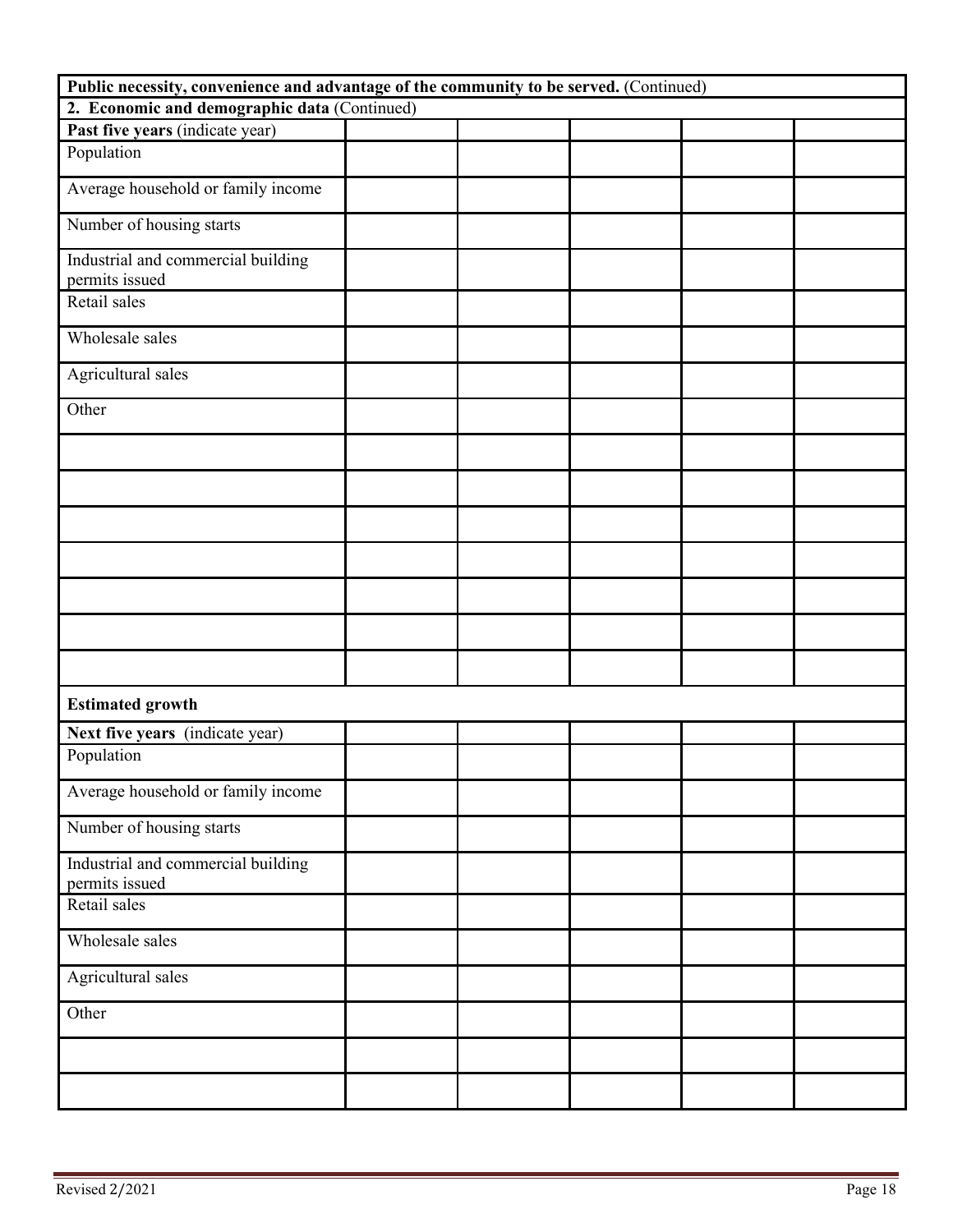| Public necessity, convenience and advantage of the community to be served. (Continued) |  |  |  |  |  |  |  |  |
|----------------------------------------------------------------------------------------|--|--|--|--|--|--|--|--|
| 2. Economic and demographic data (Continued)                                           |  |  |  |  |  |  |  |  |
| Past five years (indicate year)                                                        |  |  |  |  |  |  |  |  |
| Population                                                                             |  |  |  |  |  |  |  |  |
| Average household or family income                                                     |  |  |  |  |  |  |  |  |
| Number of housing starts                                                               |  |  |  |  |  |  |  |  |
| Industrial and commercial building<br>permits issued                                   |  |  |  |  |  |  |  |  |
| Retail sales                                                                           |  |  |  |  |  |  |  |  |
| Wholesale sales                                                                        |  |  |  |  |  |  |  |  |
| Agricultural sales                                                                     |  |  |  |  |  |  |  |  |
| Other                                                                                  |  |  |  |  |  |  |  |  |
|                                                                                        |  |  |  |  |  |  |  |  |
|                                                                                        |  |  |  |  |  |  |  |  |
|                                                                                        |  |  |  |  |  |  |  |  |
|                                                                                        |  |  |  |  |  |  |  |  |
|                                                                                        |  |  |  |  |  |  |  |  |
|                                                                                        |  |  |  |  |  |  |  |  |
|                                                                                        |  |  |  |  |  |  |  |  |
| <b>Estimated growth</b>                                                                |  |  |  |  |  |  |  |  |
| Next five years (indicate year)                                                        |  |  |  |  |  |  |  |  |
| Population                                                                             |  |  |  |  |  |  |  |  |
| Average household or family income                                                     |  |  |  |  |  |  |  |  |
| Number of housing starts                                                               |  |  |  |  |  |  |  |  |
| Industrial and commercial building<br>permits issued                                   |  |  |  |  |  |  |  |  |
| Retail sales                                                                           |  |  |  |  |  |  |  |  |
| Wholesale sales                                                                        |  |  |  |  |  |  |  |  |
| Agricultural sales                                                                     |  |  |  |  |  |  |  |  |
| Other                                                                                  |  |  |  |  |  |  |  |  |
|                                                                                        |  |  |  |  |  |  |  |  |
|                                                                                        |  |  |  |  |  |  |  |  |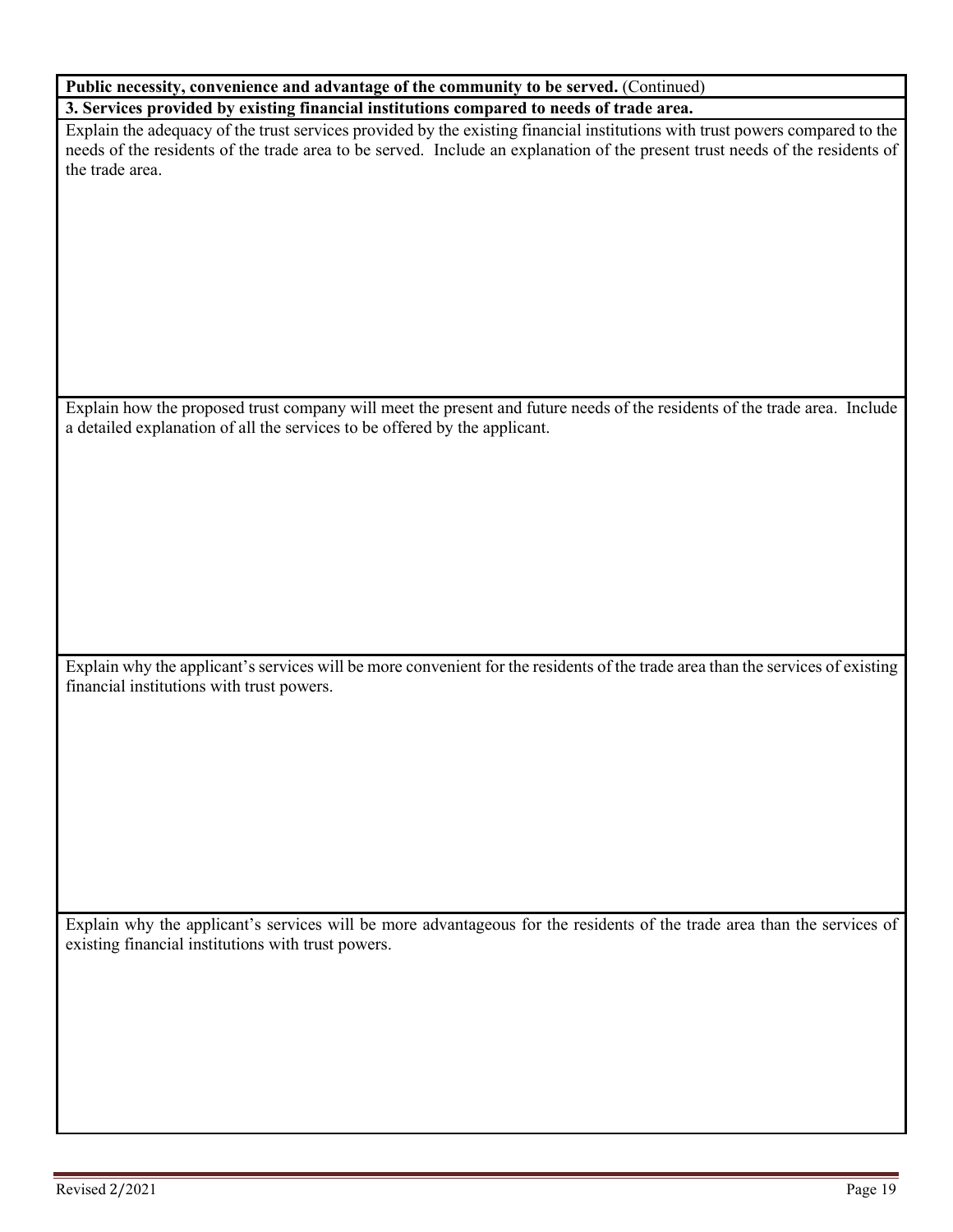| Public necessity, convenience and advantage of the community to be served. (Continued)                                       |  |  |  |  |  |  |  |
|------------------------------------------------------------------------------------------------------------------------------|--|--|--|--|--|--|--|
| 3. Services provided by existing financial institutions compared to needs of trade area.                                     |  |  |  |  |  |  |  |
| Explain the adequacy of the trust services provided by the existing financial institutions with trust powers compared to the |  |  |  |  |  |  |  |
| needs of the residents of the trade area to be served. Include an explanation of the present trust needs of the residents of |  |  |  |  |  |  |  |

Explain how the proposed trust company will meet the present and future needs of the residents of the trade area. Include a detailed explanation of all the services to be offered by the applicant.

Explain why the applicant's services will be more convenient for the residents of the trade area than the services of existing financial institutions with trust powers.

Explain why the applicant's services will be more advantageous for the residents of the trade area than the services of existing financial institutions with trust powers.

the trade area.